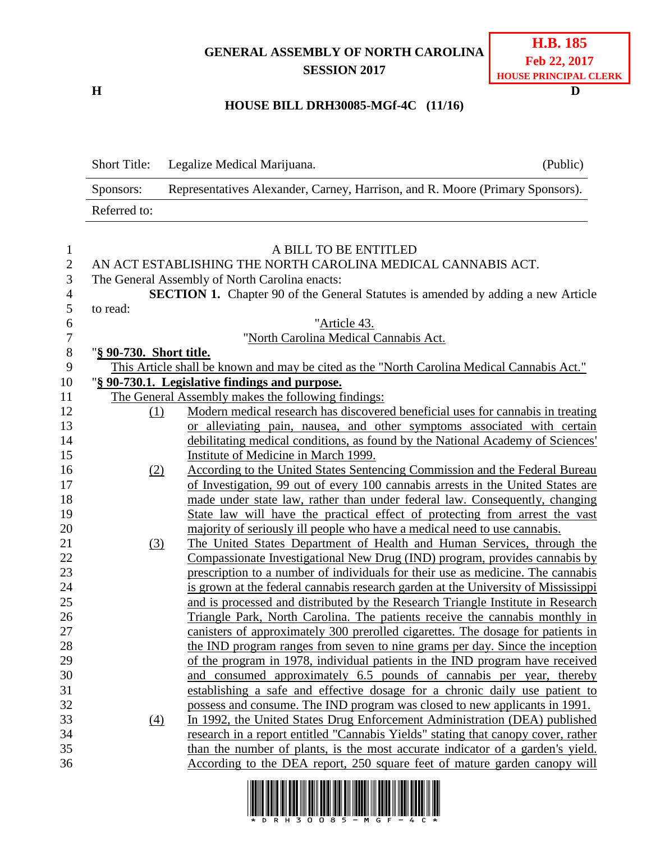## **GENERAL ASSEMBLY OF NORTH CAROLINA SESSION 2017**

**H D**

## **HOUSE BILL DRH30085-MGf-4C (11/16)**

|                | <b>Short Title:</b>     | Legalize Medical Marijuana.                                                                                                                                  | (Public) |
|----------------|-------------------------|--------------------------------------------------------------------------------------------------------------------------------------------------------------|----------|
|                | Sponsors:               | Representatives Alexander, Carney, Harrison, and R. Moore (Primary Sponsors).                                                                                |          |
|                | Referred to:            |                                                                                                                                                              |          |
| $\mathbf{1}$   |                         | A BILL TO BE ENTITLED                                                                                                                                        |          |
| $\overline{2}$ |                         | AN ACT ESTABLISHING THE NORTH CAROLINA MEDICAL CANNABIS ACT.                                                                                                 |          |
| 3              |                         | The General Assembly of North Carolina enacts:                                                                                                               |          |
| $\overline{4}$ |                         | <b>SECTION 1.</b> Chapter 90 of the General Statutes is amended by adding a new Article                                                                      |          |
| 5              | to read:                |                                                                                                                                                              |          |
| 6              |                         | "Article 43.                                                                                                                                                 |          |
| $\tau$         |                         | "North Carolina Medical Cannabis Act.                                                                                                                        |          |
| 8              | "§ 90-730. Short title. |                                                                                                                                                              |          |
| 9              |                         | This Article shall be known and may be cited as the "North Carolina Medical Cannabis Act."                                                                   |          |
| 10             |                         | "§ 90-730.1. Legislative findings and purpose.                                                                                                               |          |
| 11             |                         | The General Assembly makes the following findings:                                                                                                           |          |
| 12             | (1)                     | Modern medical research has discovered beneficial uses for cannabis in treating                                                                              |          |
| 13             |                         | or alleviating pain, nausea, and other symptoms associated with certain                                                                                      |          |
| 14             |                         | debilitating medical conditions, as found by the National Academy of Sciences'                                                                               |          |
| 15             |                         | Institute of Medicine in March 1999.                                                                                                                         |          |
| 16             | (2)                     | According to the United States Sentencing Commission and the Federal Bureau                                                                                  |          |
| 17             |                         | of Investigation, 99 out of every 100 cannabis arrests in the United States are                                                                              |          |
| 18             |                         | made under state law, rather than under federal law. Consequently, changing                                                                                  |          |
| 19             |                         | State law will have the practical effect of protecting from arrest the vast                                                                                  |          |
| 20             |                         | majority of seriously ill people who have a medical need to use cannabis.                                                                                    |          |
| 21             | (3)                     | The United States Department of Health and Human Services, through the                                                                                       |          |
| 22             |                         | Compassionate Investigational New Drug (IND) program, provides cannabis by                                                                                   |          |
| 23             |                         | prescription to a number of individuals for their use as medicine. The cannabis                                                                              |          |
| 24             |                         | is grown at the federal cannabis research garden at the University of Mississippi                                                                            |          |
| 25             |                         | and is processed and distributed by the Research Triangle Institute in Research                                                                              |          |
| 26<br>27       |                         | Triangle Park, North Carolina. The patients receive the cannabis monthly in                                                                                  |          |
|                |                         | canisters of approximately 300 prerolled cigarettes. The dosage for patients in                                                                              |          |
| 28<br>29       |                         | the IND program ranges from seven to nine grams per day. Since the inception<br>of the program in 1978, individual patients in the IND program have received |          |
| 30             |                         | and consumed approximately 6.5 pounds of cannabis per year, thereby                                                                                          |          |
| 31             |                         | establishing a safe and effective dosage for a chronic daily use patient to                                                                                  |          |
| 32             |                         | possess and consume. The IND program was closed to new applicants in 1991.                                                                                   |          |
| 33             | $\left(4\right)$        | In 1992, the United States Drug Enforcement Administration (DEA) published                                                                                   |          |
| 34             |                         | research in a report entitled "Cannabis Yields" stating that canopy cover, rather                                                                            |          |
| 35             |                         | than the number of plants, is the most accurate indicator of a garden's yield.                                                                               |          |
| 36             |                         | According to the DEA report, 250 square feet of mature garden canopy will                                                                                    |          |
|                |                         | . 188119 1911 212 21111 22111 23121 19131 2111 1123 2311 1111 2312 211 113 211 212 213 114 125                                                               |          |

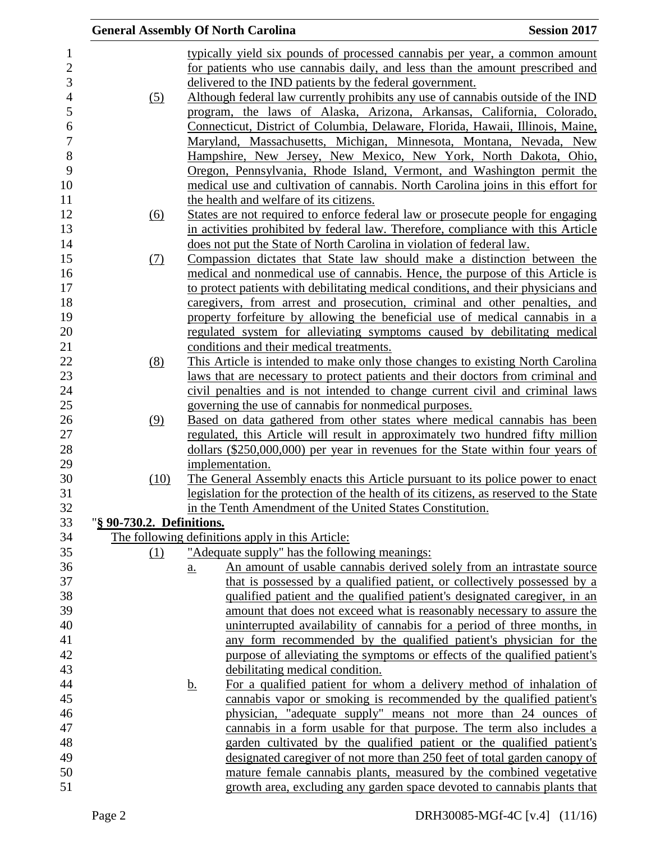|                           | <b>General Assembly Of North Carolina</b>                                              | <b>Session 2017</b> |
|---------------------------|----------------------------------------------------------------------------------------|---------------------|
|                           | typically yield six pounds of processed cannabis per year, a common amount             |                     |
|                           | for patients who use cannabis daily, and less than the amount prescribed and           |                     |
|                           | delivered to the IND patients by the federal government.                               |                     |
| (5)                       | Although federal law currently prohibits any use of cannabis outside of the IND        |                     |
|                           | program, the laws of Alaska, Arizona, Arkansas, California, Colorado,                  |                     |
|                           | Connecticut, District of Columbia, Delaware, Florida, Hawaii, Illinois, Maine,         |                     |
|                           | Maryland, Massachusetts, Michigan, Minnesota, Montana, Nevada, New                     |                     |
|                           | Hampshire, New Jersey, New Mexico, New York, North Dakota, Ohio,                       |                     |
|                           | Oregon, Pennsylvania, Rhode Island, Vermont, and Washington permit the                 |                     |
|                           | medical use and cultivation of cannabis. North Carolina joins in this effort for       |                     |
|                           |                                                                                        |                     |
|                           | the health and welfare of its citizens.                                                |                     |
| (6)                       | States are not required to enforce federal law or prosecute people for engaging        |                     |
|                           | in activities prohibited by federal law. Therefore, compliance with this Article       |                     |
|                           | does not put the State of North Carolina in violation of federal law.                  |                     |
| (7)                       | Compassion dictates that State law should make a distinction between the               |                     |
|                           | medical and nonmedical use of cannabis. Hence, the purpose of this Article is          |                     |
|                           | to protect patients with debilitating medical conditions, and their physicians and     |                     |
|                           | caregivers, from arrest and prosecution, criminal and other penalties, and             |                     |
|                           | property forfeiture by allowing the beneficial use of medical cannabis in a            |                     |
|                           | regulated system for alleviating symptoms caused by debilitating medical               |                     |
|                           | conditions and their medical treatments.                                               |                     |
| (8)                       | This Article is intended to make only those changes to existing North Carolina         |                     |
|                           | laws that are necessary to protect patients and their doctors from criminal and        |                     |
|                           | civil penalties and is not intended to change current civil and criminal laws          |                     |
|                           | governing the use of cannabis for nonmedical purposes.                                 |                     |
| (9)                       | Based on data gathered from other states where medical cannabis has been               |                     |
|                           | regulated, this Article will result in approximately two hundred fifty million         |                     |
|                           | dollars (\$250,000,000) per year in revenues for the State within four years of        |                     |
|                           | implementation.                                                                        |                     |
| (10)                      | The General Assembly enacts this Article pursuant to its police power to enact         |                     |
|                           | legislation for the protection of the health of its citizens, as reserved to the State |                     |
|                           | in the Tenth Amendment of the United States Constitution.                              |                     |
| "§ 90-730.2. Definitions. |                                                                                        |                     |
|                           | The following definitions apply in this Article:                                       |                     |
| (1)                       | "Adequate supply" has the following meanings:                                          |                     |
|                           | An amount of usable cannabis derived solely from an intrastate source<br>a.            |                     |
|                           | that is possessed by a qualified patient, or collectively possessed by a               |                     |
|                           | qualified patient and the qualified patient's designated caregiver, in an              |                     |
|                           | amount that does not exceed what is reasonably necessary to assure the                 |                     |
|                           | uninterrupted availability of cannabis for a period of three months, in                |                     |
|                           | any form recommended by the qualified patient's physician for the                      |                     |
|                           | purpose of alleviating the symptoms or effects of the qualified patient's              |                     |
|                           | debilitating medical condition.                                                        |                     |
|                           | For a qualified patient for whom a delivery method of inhalation of<br><u>b.</u>       |                     |
|                           | cannabis vapor or smoking is recommended by the qualified patient's                    |                     |
|                           | physician, "adequate supply" means not more than 24 ounces of                          |                     |
|                           | cannabis in a form usable for that purpose. The term also includes a                   |                     |
|                           | garden cultivated by the qualified patient or the qualified patient's                  |                     |
|                           | designated caregiver of not more than 250 feet of total garden canopy of               |                     |
|                           | mature female cannabis plants, measured by the combined vegetative                     |                     |
|                           | growth area, excluding any garden space devoted to cannabis plants that                |                     |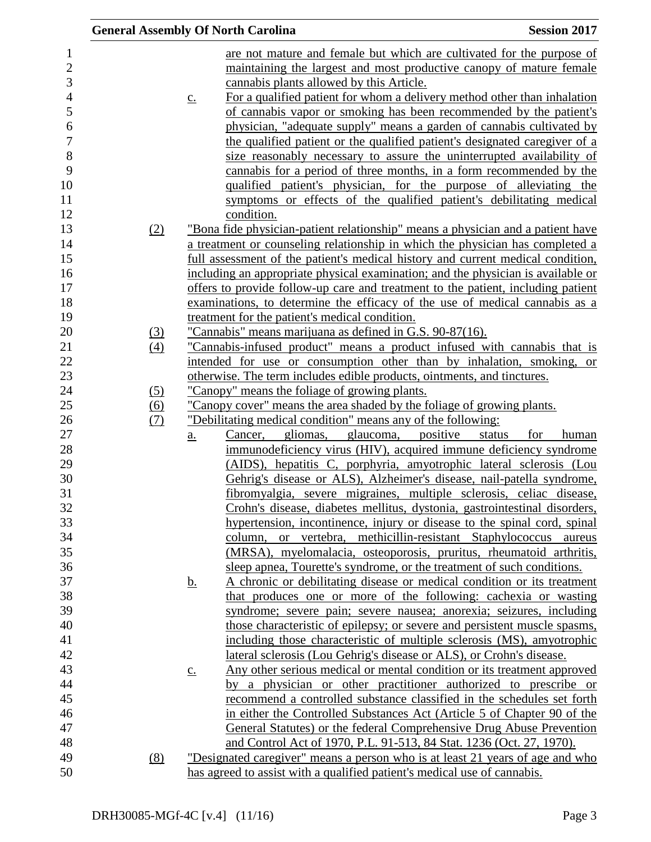|                |                            |                   | <b>General Assembly Of North Carolina</b>                                        | <b>Session 2017</b>    |
|----------------|----------------------------|-------------------|----------------------------------------------------------------------------------|------------------------|
| $\mathbf{1}$   |                            |                   | are not mature and female but which are cultivated for the purpose of            |                        |
| $\sqrt{2}$     |                            |                   | maintaining the largest and most productive canopy of mature female              |                        |
| 3              |                            |                   | cannabis plants allowed by this Article.                                         |                        |
| $\overline{4}$ |                            | $\underline{c}$ . | For a qualified patient for whom a delivery method other than inhalation         |                        |
| 5              |                            |                   | of cannabis vapor or smoking has been recommended by the patient's               |                        |
| 6              |                            |                   | physician, "adequate supply" means a garden of cannabis cultivated by            |                        |
| $\overline{7}$ |                            |                   | the qualified patient or the qualified patient's designated caregiver of a       |                        |
| $8\,$          |                            |                   | size reasonably necessary to assure the uninterrupted availability of            |                        |
| 9              |                            |                   |                                                                                  |                        |
| 10             |                            |                   | cannabis for a period of three months, in a form recommended by the              |                        |
|                |                            |                   | qualified patient's physician, for the purpose of alleviating the                |                        |
| 11             |                            |                   | symptoms or effects of the qualified patient's debilitating medical              |                        |
| 12             |                            |                   | condition.                                                                       |                        |
| 13             | (2)                        |                   | "Bona fide physician-patient relationship" means a physician and a patient have  |                        |
| 14             |                            |                   | a treatment or counseling relationship in which the physician has completed a    |                        |
| 15             |                            |                   | full assessment of the patient's medical history and current medical condition,  |                        |
| 16             |                            |                   | including an appropriate physical examination; and the physician is available or |                        |
| 17             |                            |                   | offers to provide follow-up care and treatment to the patient, including patient |                        |
| 18             |                            |                   | examinations, to determine the efficacy of the use of medical cannabis as a      |                        |
| 19             |                            |                   | treatment for the patient's medical condition.                                   |                        |
| 20             | $\underline{\textbf{(3)}}$ |                   | "Cannabis" means marijuana as defined in G.S. 90-87(16).                         |                        |
| 21             | (4)                        |                   | "Cannabis-infused product" means a product infused with cannabis that is         |                        |
| 22             |                            |                   | intended for use or consumption other than by inhalation, smoking, or            |                        |
| 23             |                            |                   | otherwise. The term includes edible products, ointments, and tinctures.          |                        |
| 24             | (5)                        |                   | "Canopy" means the foliage of growing plants.                                    |                        |
| 25             | $\frac{(6)}{(7)}$          |                   | "Canopy cover" means the area shaded by the foliage of growing plants.           |                        |
| 26             |                            |                   | "Debilitating medical condition" means any of the following:                     |                        |
| $27\,$         |                            | $\underline{a}$ . | Cancer, gliomas, glaucoma, positive                                              | status<br>for<br>human |
| 28             |                            |                   | immunodeficiency virus (HIV), acquired immune deficiency syndrome                |                        |
| 29             |                            |                   | (AIDS), hepatitis C, porphyria, amyotrophic lateral sclerosis (Lou               |                        |
| 30             |                            |                   | Gehrig's disease or ALS), Alzheimer's disease, nail-patella syndrome,            |                        |
| 31             |                            |                   | fibromyalgia, severe migraines, multiple sclerosis, celiac disease,              |                        |
| 32             |                            |                   | Crohn's disease, diabetes mellitus, dystonia, gastrointestinal disorders,        |                        |
| 33             |                            |                   | hypertension, incontinence, injury or disease to the spinal cord, spinal         |                        |
| 34             |                            |                   | column, or vertebra, methicillin-resistant Staphylococcus aureus                 |                        |
| 35             |                            |                   | (MRSA), myelomalacia, osteoporosis, pruritus, rheumatoid arthritis,              |                        |
| 36             |                            |                   | sleep apnea, Tourette's syndrome, or the treatment of such conditions.           |                        |
| 37             |                            | <u>b.</u>         | A chronic or debilitating disease or medical condition or its treatment          |                        |
| 38             |                            |                   | that produces one or more of the following: cachexia or wasting                  |                        |
| 39             |                            |                   | syndrome; severe pain; severe nausea; anorexia; seizures, including              |                        |
| 40             |                            |                   | those characteristic of epilepsy; or severe and persistent muscle spasms,        |                        |
| 41             |                            |                   | including those characteristic of multiple sclerosis (MS), amyotrophic           |                        |
| 42             |                            |                   | <u>lateral sclerosis (Lou Gehrig's disease or ALS), or Crohn's disease.</u>      |                        |
| 43             |                            | $\underline{C}$ . | Any other serious medical or mental condition or its treatment approved          |                        |
| 44             |                            |                   | by a physician or other practitioner authorized to prescribe or                  |                        |
| 45             |                            |                   | recommend a controlled substance classified in the schedules set forth           |                        |
| 46             |                            |                   | in either the Controlled Substances Act (Article 5 of Chapter 90 of the          |                        |
| 47             |                            |                   | General Statutes) or the federal Comprehensive Drug Abuse Prevention             |                        |
| 48             |                            |                   | and Control Act of 1970, P.L. 91-513, 84 Stat. 1236 (Oct. 27, 1970).             |                        |
| 49             | (8)                        |                   | "Designated caregiver" means a person who is at least 21 years of age and who    |                        |
| 50             |                            |                   | has agreed to assist with a qualified patient's medical use of cannabis.         |                        |
|                |                            |                   |                                                                                  |                        |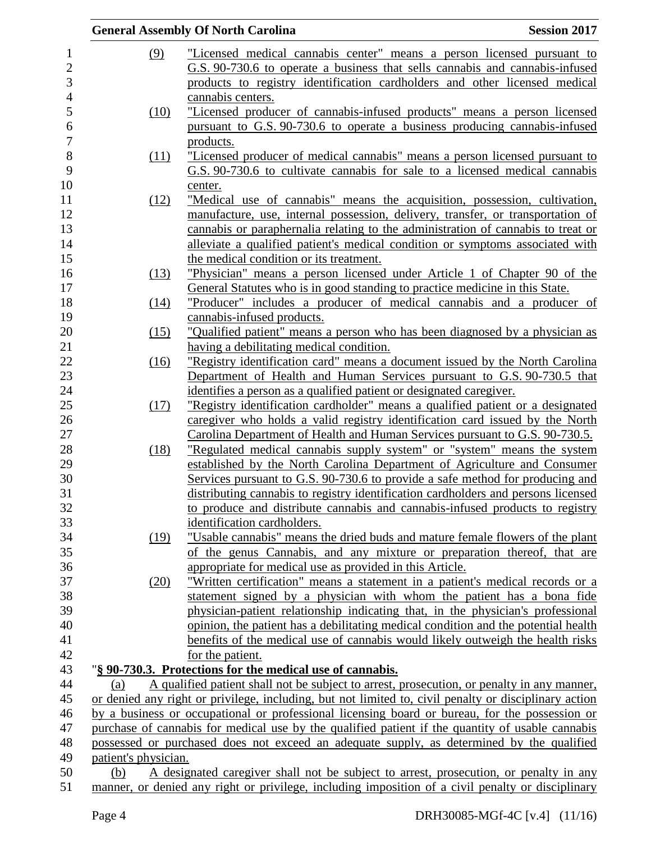|                      | <b>General Assembly Of North Carolina</b>                                                                                                                                                  | <b>Session 2017</b> |
|----------------------|--------------------------------------------------------------------------------------------------------------------------------------------------------------------------------------------|---------------------|
| (9)                  | "Licensed medical cannabis center" means a person licensed pursuant to                                                                                                                     |                     |
|                      | G.S. 90-730.6 to operate a business that sells cannabis and cannabis-infused                                                                                                               |                     |
|                      | products to registry identification cardholders and other licensed medical                                                                                                                 |                     |
|                      |                                                                                                                                                                                            |                     |
|                      | cannabis centers.                                                                                                                                                                          |                     |
| (10)                 | "Licensed producer of cannabis-infused products" means a person licensed                                                                                                                   |                     |
|                      | pursuant to G.S. 90-730.6 to operate a business producing cannabis-infused                                                                                                                 |                     |
|                      | products.                                                                                                                                                                                  |                     |
| (11)                 | "Licensed producer of medical cannabis" means a person licensed pursuant to                                                                                                                |                     |
|                      | G.S. 90-730.6 to cultivate cannabis for sale to a licensed medical cannabis                                                                                                                |                     |
|                      | center.                                                                                                                                                                                    |                     |
| (12)                 | "Medical use of cannabis" means the acquisition, possession, cultivation,                                                                                                                  |                     |
|                      | manufacture, use, internal possession, delivery, transfer, or transportation of                                                                                                            |                     |
|                      | cannabis or paraphernalia relating to the administration of cannabis to treat or                                                                                                           |                     |
|                      | alleviate a qualified patient's medical condition or symptoms associated with                                                                                                              |                     |
|                      | the medical condition or its treatment.                                                                                                                                                    |                     |
| (13)                 | "Physician" means a person licensed under Article 1 of Chapter 90 of the                                                                                                                   |                     |
|                      | General Statutes who is in good standing to practice medicine in this State.                                                                                                               |                     |
| (14)                 | "Producer" includes a producer of medical cannabis and a producer of                                                                                                                       |                     |
|                      | cannabis-infused products.                                                                                                                                                                 |                     |
| (15)                 | "Qualified patient" means a person who has been diagnosed by a physician as                                                                                                                |                     |
|                      | having a debilitating medical condition.                                                                                                                                                   |                     |
| (16)                 | "Registry identification card" means a document issued by the North Carolina                                                                                                               |                     |
|                      | Department of Health and Human Services pursuant to G.S. 90-730.5 that                                                                                                                     |                     |
|                      | identifies a person as a qualified patient or designated caregiver.                                                                                                                        |                     |
| (17)                 | "Registry identification cardholder" means a qualified patient or a designated                                                                                                             |                     |
|                      | caregiver who holds a valid registry identification card issued by the North                                                                                                               |                     |
|                      | Carolina Department of Health and Human Services pursuant to G.S. 90-730.5.                                                                                                                |                     |
| (18)                 | "Regulated medical cannabis supply system" or "system" means the system                                                                                                                    |                     |
|                      | established by the North Carolina Department of Agriculture and Consumer                                                                                                                   |                     |
|                      | Services pursuant to G.S. 90-730.6 to provide a safe method for producing and                                                                                                              |                     |
|                      | distributing cannabis to registry identification cardholders and persons licensed                                                                                                          |                     |
|                      | to produce and distribute cannabis and cannabis-infused products to registry                                                                                                               |                     |
|                      | identification cardholders.                                                                                                                                                                |                     |
| (19)                 | "Usable cannabis" means the dried buds and mature female flowers of the plant                                                                                                              |                     |
|                      | of the genus Cannabis, and any mixture or preparation thereof, that are                                                                                                                    |                     |
|                      | appropriate for medical use as provided in this Article.                                                                                                                                   |                     |
| (20)                 | "Written certification" means a statement in a patient's medical records or a                                                                                                              |                     |
|                      | statement signed by a physician with whom the patient has a bona fide                                                                                                                      |                     |
|                      |                                                                                                                                                                                            |                     |
|                      | physician-patient relationship indicating that, in the physician's professional                                                                                                            |                     |
|                      | opinion, the patient has a debilitating medical condition and the potential health                                                                                                         |                     |
|                      | benefits of the medical use of cannabis would likely outweigh the health risks                                                                                                             |                     |
|                      | for the patient.                                                                                                                                                                           |                     |
|                      | "§ 90-730.3. Protections for the medical use of cannabis.                                                                                                                                  |                     |
| (a)                  | A qualified patient shall not be subject to arrest, prosecution, or penalty in any manner,                                                                                                 |                     |
|                      | or denied any right or privilege, including, but not limited to, civil penalty or disciplinary action                                                                                      |                     |
|                      | by a business or occupational or professional licensing board or bureau, for the possession or                                                                                             |                     |
|                      | purchase of cannabis for medical use by the qualified patient if the quantity of usable cannabis                                                                                           |                     |
|                      | possessed or purchased does not exceed an adequate supply, as determined by the qualified                                                                                                  |                     |
| patient's physician. |                                                                                                                                                                                            |                     |
| (b)                  | A designated caregiver shall not be subject to arrest, prosecution, or penalty in any<br>manner, or denied any right or privilege, including imposition of a civil penalty or disciplinary |                     |
|                      |                                                                                                                                                                                            |                     |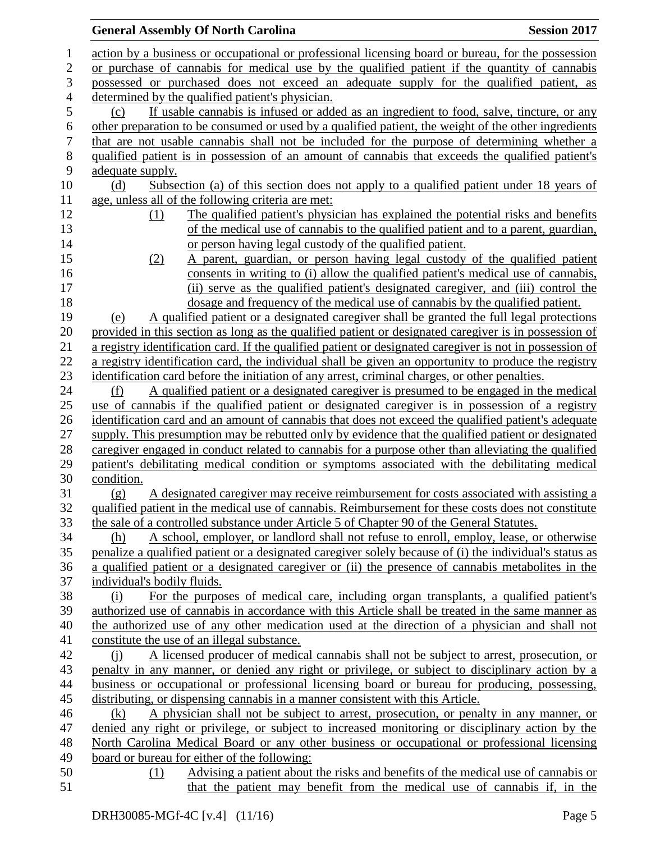|                | <b>Session 2017</b><br><b>General Assembly Of North Carolina</b>                                         |
|----------------|----------------------------------------------------------------------------------------------------------|
| 1              | action by a business or occupational or professional licensing board or bureau, for the possession       |
| 2              | or purchase of cannabis for medical use by the qualified patient if the quantity of cannabis             |
| 3              | possessed or purchased does not exceed an adequate supply for the qualified patient, as                  |
| $\overline{4}$ | determined by the qualified patient's physician.                                                         |
| 5              | If usable cannabis is infused or added as an ingredient to food, salve, tincture, or any<br>(c)          |
| 6              | other preparation to be consumed or used by a qualified patient, the weight of the other ingredients     |
| 7              | that are not usable cannabis shall not be included for the purpose of determining whether a              |
| $8\,$          | qualified patient is in possession of an amount of cannabis that exceeds the qualified patient's         |
| 9              | adequate supply.                                                                                         |
| 10             | (d)<br>Subsection (a) of this section does not apply to a qualified patient under 18 years of            |
| 11             | age, unless all of the following criteria are met:                                                       |
| 12             | The qualified patient's physician has explained the potential risks and benefits<br>(1)                  |
| 13             | of the medical use of cannabis to the qualified patient and to a parent, guardian,                       |
| 14             | or person having legal custody of the qualified patient.                                                 |
| 15             | A parent, guardian, or person having legal custody of the qualified patient<br>(2)                       |
| 16             | consents in writing to (i) allow the qualified patient's medical use of cannabis,                        |
| 17             | (ii) serve as the qualified patient's designated caregiver, and (iii) control the                        |
| 18             | dosage and frequency of the medical use of cannabis by the qualified patient.                            |
| 19             | A qualified patient or a designated caregiver shall be granted the full legal protections<br>(e)         |
| 20             | provided in this section as long as the qualified patient or designated caregiver is in possession of    |
| 21             | a registry identification card. If the qualified patient or designated caregiver is not in possession of |
| 22             | a registry identification card, the individual shall be given an opportunity to produce the registry     |
| 23             | identification card before the initiation of any arrest, criminal charges, or other penalties.           |
| 24             | A qualified patient or a designated caregiver is presumed to be engaged in the medical<br>(f)            |
| 25             | use of cannabis if the qualified patient or designated caregiver is in possession of a registry          |
| 26             | identification card and an amount of cannabis that does not exceed the qualified patient's adequate      |
| 27             | supply. This presumption may be rebutted only by evidence that the qualified patient or designated       |
| 28             | caregiver engaged in conduct related to cannabis for a purpose other than alleviating the qualified      |
| 29             | patient's debilitating medical condition or symptoms associated with the debilitating medical            |
| 30             | condition.                                                                                               |
| 31             | A designated caregiver may receive reimbursement for costs associated with assisting a<br>(g)            |
| 32             | qualified patient in the medical use of cannabis. Reimbursement for these costs does not constitute      |
| 33             | the sale of a controlled substance under Article 5 of Chapter 90 of the General Statutes.                |
| 34             | A school, employer, or landlord shall not refuse to enroll, employ, lease, or otherwise<br>(h)           |
| 35             | penalize a qualified patient or a designated caregiver solely because of (i) the individual's status as  |
| 36             | a qualified patient or a designated caregiver or (ii) the presence of cannabis metabolites in the        |
| 37             | individual's bodily fluids.                                                                              |
| 38             | For the purposes of medical care, including organ transplants, a qualified patient's<br>(i)              |
| 39             | authorized use of cannabis in accordance with this Article shall be treated in the same manner as        |
| 40             | the authorized use of any other medication used at the direction of a physician and shall not            |
| 41             | constitute the use of an illegal substance.                                                              |
| 42             | A licensed producer of medical cannabis shall not be subject to arrest, prosecution, or<br>$\Omega$      |
| 43             | penalty in any manner, or denied any right or privilege, or subject to disciplinary action by a          |
| 44             | business or occupational or professional licensing board or bureau for producing, possessing,            |
| 45             | distributing, or dispensing cannabis in a manner consistent with this Article.                           |
| 46             | A physician shall not be subject to arrest, prosecution, or penalty in any manner, or<br>(k)             |
| 47             | denied any right or privilege, or subject to increased monitoring or disciplinary action by the          |
| 48             | North Carolina Medical Board or any other business or occupational or professional licensing             |
| 49             | board or bureau for either of the following:                                                             |
| 50             | Advising a patient about the risks and benefits of the medical use of cannabis or<br>(1)                 |
| 51             | that the patient may benefit from the medical use of cannabis if, in the                                 |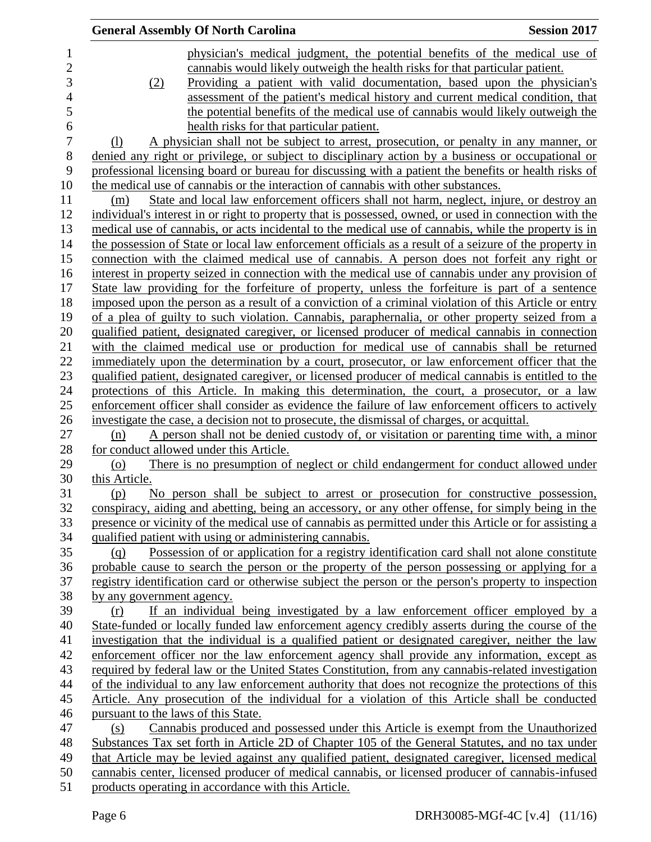|                           | <b>General Assembly Of North Carolina</b>                                                              | <b>Session 2017</b> |
|---------------------------|--------------------------------------------------------------------------------------------------------|---------------------|
|                           | physician's medical judgment, the potential benefits of the medical use of                             |                     |
|                           | cannabis would likely outweigh the health risks for that particular patient.                           |                     |
| (2)                       | Providing a patient with valid documentation, based upon the physician's                               |                     |
|                           | assessment of the patient's medical history and current medical condition, that                        |                     |
|                           | the potential benefits of the medical use of cannabis would likely outweigh the                        |                     |
|                           | health risks for that particular patient.                                                              |                     |
| (1)                       | A physician shall not be subject to arrest, prosecution, or penalty in any manner, or                  |                     |
|                           | denied any right or privilege, or subject to disciplinary action by a business or occupational or      |                     |
|                           | professional licensing board or bureau for discussing with a patient the benefits or health risks of   |                     |
|                           | the medical use of cannabis or the interaction of cannabis with other substances.                      |                     |
| (m)                       | State and local law enforcement officers shall not harm, neglect, injure, or destroy an                |                     |
|                           | individual's interest in or right to property that is possessed, owned, or used in connection with the |                     |
|                           | medical use of cannabis, or acts incidental to the medical use of cannabis, while the property is in   |                     |
|                           | the possession of State or local law enforcement officials as a result of a seizure of the property in |                     |
|                           | connection with the claimed medical use of cannabis. A person does not forfeit any right or            |                     |
|                           | interest in property seized in connection with the medical use of cannabis under any provision of      |                     |
|                           | State law providing for the forfeiture of property, unless the forfeiture is part of a sentence        |                     |
|                           | imposed upon the person as a result of a conviction of a criminal violation of this Article or entry   |                     |
|                           | of a plea of guilty to such violation. Cannabis, paraphernalia, or other property seized from a        |                     |
|                           | qualified patient, designated caregiver, or licensed producer of medical cannabis in connection        |                     |
|                           | with the claimed medical use or production for medical use of cannabis shall be returned               |                     |
|                           | immediately upon the determination by a court, prosecutor, or law enforcement officer that the         |                     |
|                           | qualified patient, designated caregiver, or licensed producer of medical cannabis is entitled to the   |                     |
|                           | protections of this Article. In making this determination, the court, a prosecutor, or a law           |                     |
|                           | enforcement officer shall consider as evidence the failure of law enforcement officers to actively     |                     |
|                           | investigate the case, a decision not to prosecute, the dismissal of charges, or acquittal.             |                     |
| (n)                       | A person shall not be denied custody of, or visitation or parenting time with, a minor                 |                     |
|                           | for conduct allowed under this Article.                                                                |                     |
| (o)<br>this Article.      | There is no presumption of neglect or child endangerment for conduct allowed under                     |                     |
| (p)                       | No person shall be subject to arrest or prosecution for constructive possession,                       |                     |
|                           | conspiracy, aiding and abetting, being an accessory, or any other offense, for simply being in the     |                     |
|                           | presence or vicinity of the medical use of cannabis as permitted under this Article or for assisting a |                     |
|                           | qualified patient with using or administering cannabis.                                                |                     |
| (g)                       | Possession of or application for a registry identification card shall not alone constitute             |                     |
|                           | probable cause to search the person or the property of the person possessing or applying for a         |                     |
|                           | registry identification card or otherwise subject the person or the person's property to inspection    |                     |
| by any government agency. |                                                                                                        |                     |
| (r)                       | If an individual being investigated by a law enforcement officer employed by a                         |                     |
|                           | State-funded or locally funded law enforcement agency credibly asserts during the course of the        |                     |
|                           | investigation that the individual is a qualified patient or designated caregiver, neither the law      |                     |
|                           | enforcement officer nor the law enforcement agency shall provide any information, except as            |                     |
|                           | required by federal law or the United States Constitution, from any cannabis-related investigation     |                     |
|                           | of the individual to any law enforcement authority that does not recognize the protections of this     |                     |
|                           | Article. Any prosecution of the individual for a violation of this Article shall be conducted          |                     |
|                           | pursuant to the laws of this State.                                                                    |                     |
| (s)                       | Cannabis produced and possessed under this Article is exempt from the Unauthorized                     |                     |
|                           | Substances Tax set forth in Article 2D of Chapter 105 of the General Statutes, and no tax under        |                     |
|                           | that Article may be levied against any qualified patient, designated caregiver, licensed medical       |                     |
|                           | cannabis center, licensed producer of medical cannabis, or licensed producer of cannabis-infused       |                     |
|                           |                                                                                                        |                     |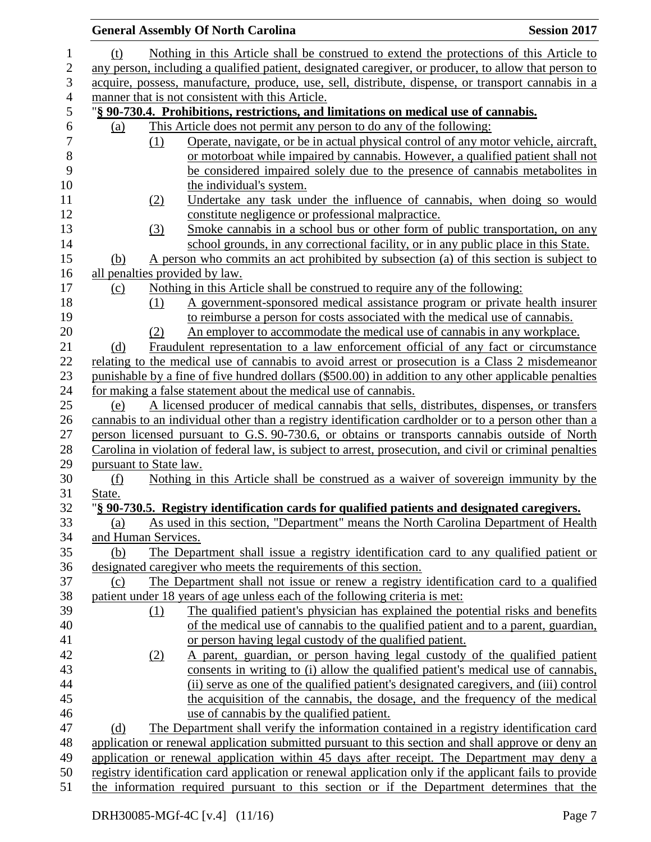|              |        | <b>Session 2017</b><br><b>General Assembly Of North Carolina</b>                                         |  |
|--------------|--------|----------------------------------------------------------------------------------------------------------|--|
| 1            | (t)    | Nothing in this Article shall be construed to extend the protections of this Article to                  |  |
| $\mathbf{2}$ |        | any person, including a qualified patient, designated caregiver, or producer, to allow that person to    |  |
| 3            |        | acquire, possess, manufacture, produce, use, sell, distribute, dispense, or transport cannabis in a      |  |
|              |        | manner that is not consistent with this Article.                                                         |  |
|              |        | "§ 90-730.4. Prohibitions, restrictions, and limitations on medical use of cannabis.                     |  |
|              | (a)    | This Article does not permit any person to do any of the following:                                      |  |
|              |        | Operate, navigate, or be in actual physical control of any motor vehicle, aircraft,<br>(1)               |  |
|              |        | or motorboat while impaired by cannabis. However, a qualified patient shall not                          |  |
|              |        | be considered impaired solely due to the presence of cannabis metabolites in                             |  |
|              |        | the individual's system.                                                                                 |  |
|              |        | Undertake any task under the influence of cannabis, when doing so would<br>(2)                           |  |
|              |        | constitute negligence or professional malpractice.                                                       |  |
|              |        | Smoke cannabis in a school bus or other form of public transportation, on any<br>(3)                     |  |
|              |        | school grounds, in any correctional facility, or in any public place in this State.                      |  |
|              | (b)    | A person who commits an act prohibited by subsection (a) of this section is subject to                   |  |
|              |        | all penalties provided by law.                                                                           |  |
|              | (c)    | Nothing in this Article shall be construed to require any of the following:                              |  |
|              |        | A government-sponsored medical assistance program or private health insurer<br>(1)                       |  |
|              |        | to reimburse a person for costs associated with the medical use of cannabis.                             |  |
|              |        | An employer to accommodate the medical use of cannabis in any workplace.<br>(2)                          |  |
|              | (d)    | Fraudulent representation to a law enforcement official of any fact or circumstance                      |  |
|              |        | relating to the medical use of cannabis to avoid arrest or prosecution is a Class 2 misdemeanor          |  |
|              |        | punishable by a fine of five hundred dollars (\$500.00) in addition to any other applicable penalties    |  |
|              |        | for making a false statement about the medical use of cannabis.                                          |  |
|              | (e)    | A licensed producer of medical cannabis that sells, distributes, dispenses, or transfers                 |  |
|              |        | cannabis to an individual other than a registry identification cardholder or to a person other than a    |  |
|              |        | person licensed pursuant to G.S. 90-730.6, or obtains or transports cannabis outside of North            |  |
|              |        | Carolina in violation of federal law, is subject to arrest, prosecution, and civil or criminal penalties |  |
|              |        | pursuant to State law.                                                                                   |  |
|              | (f)    | Nothing in this Article shall be construed as a waiver of sovereign immunity by the                      |  |
|              | State. |                                                                                                          |  |
|              |        | "§ 90-730.5. Registry identification cards for qualified patients and designated caregivers.             |  |
|              | (a)    | As used in this section, "Department" means the North Carolina Department of Health                      |  |
|              |        | and Human Services.                                                                                      |  |
|              | (b)    | The Department shall issue a registry identification card to any qualified patient or                    |  |
|              |        | designated caregiver who meets the requirements of this section.                                         |  |
|              | (c)    | The Department shall not issue or renew a registry identification card to a qualified                    |  |
|              |        | patient under 18 years of age unless each of the following criteria is met:                              |  |
|              |        | The qualified patient's physician has explained the potential risks and benefits<br>(1)                  |  |
|              |        | of the medical use of cannabis to the qualified patient and to a parent, guardian,                       |  |
|              |        | or person having legal custody of the qualified patient.                                                 |  |
|              |        | A parent, guardian, or person having legal custody of the qualified patient<br>(2)                       |  |
|              |        | consents in writing to (i) allow the qualified patient's medical use of cannabis,                        |  |
|              |        | (ii) serve as one of the qualified patient's designated caregivers, and (iii) control                    |  |
|              |        | the acquisition of the cannabis, the dosage, and the frequency of the medical                            |  |
|              |        | use of cannabis by the qualified patient.                                                                |  |
|              | (d)    | The Department shall verify the information contained in a registry identification card                  |  |
|              |        | application or renewal application submitted pursuant to this section and shall approve or deny an       |  |
|              |        | application or renewal application within 45 days after receipt. The Department may deny a               |  |
|              |        | registry identification card application or renewal application only if the applicant fails to provide   |  |
|              |        | the information required pursuant to this section or if the Department determines that the               |  |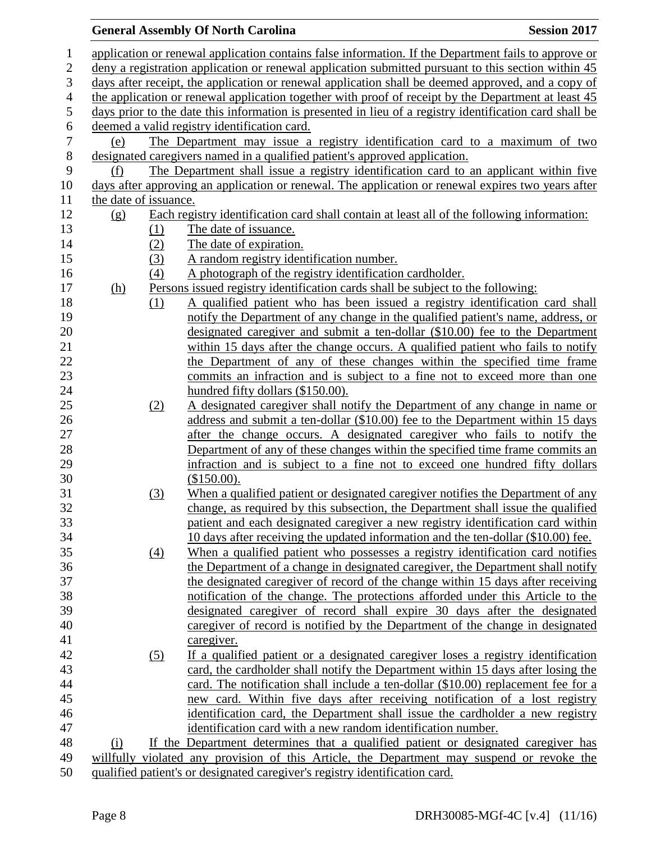## **General Assembly Of North Carolina Session 2017**  application or renewal application contains false information. If the Department fails to approve or deny a registration application or renewal application submitted pursuant to this section within 45 days after receipt, the application or renewal application shall be deemed approved, and a copy of the application or renewal application together with proof of receipt by the Department at least 45 days prior to the date this information is presented in lieu of a registry identification card shall be 6 deemed a valid registry identification card.<br>7 (e) The Department may issue a (e) The Department may issue a registry identification card to a maximum of two designated caregivers named in a qualified patient's approved application. (f) The Department shall issue a registry identification card to an applicant within five days after approving an application or renewal. The application or renewal expires two years after the date of issuance. (g) Each registry identification card shall contain at least all of the following information: 13 (1) The date of issuance. 14 (2) The date of expiration. (3) A random registry identification number. (4) A photograph of the registry identification cardholder. (h) Persons issued registry identification cards shall be subject to the following: (1) A qualified patient who has been issued a registry identification card shall notify the Department of any change in the qualified patient's name, address, or designated caregiver and submit a ten-dollar (\$10.00) fee to the Department within 15 days after the change occurs. A qualified patient who fails to notify the Department of any of these changes within the specified time frame commits an infraction and is subject to a fine not to exceed more than one 24 hundred fifty dollars (\$150.00). (2) A designated caregiver shall notify the Department of any change in name or 26 address and submit a ten-dollar (\$10.00) fee to the Department within 15 days after the change occurs. A designated caregiver who fails to notify the Department of any of these changes within the specified time frame commits an infraction and is subject to a fine not to exceed one hundred fifty dollars (\$150.00). (3) When a qualified patient or designated caregiver notifies the Department of any change, as required by this subsection, the Department shall issue the qualified patient and each designated caregiver a new registry identification card within 10 days after receiving the updated information and the ten-dollar (\$10.00) fee. (4) When a qualified patient who possesses a registry identification card notifies the Department of a change in designated caregiver, the Department shall notify the designated caregiver of record of the change within 15 days after receiving notification of the change. The protections afforded under this Article to the designated caregiver of record shall expire 30 days after the designated caregiver of record is notified by the Department of the change in designated caregiver. (5) If a qualified patient or a designated caregiver loses a registry identification card, the cardholder shall notify the Department within 15 days after losing the card. The notification shall include a ten-dollar (\$10.00) replacement fee for a new card. Within five days after receiving notification of a lost registry identification card, the Department shall issue the cardholder a new registry identification card with a new random identification number. (i) If the Department determines that a qualified patient or designated caregiver has willfully violated any provision of this Article, the Department may suspend or revoke the qualified patient's or designated caregiver's registry identification card.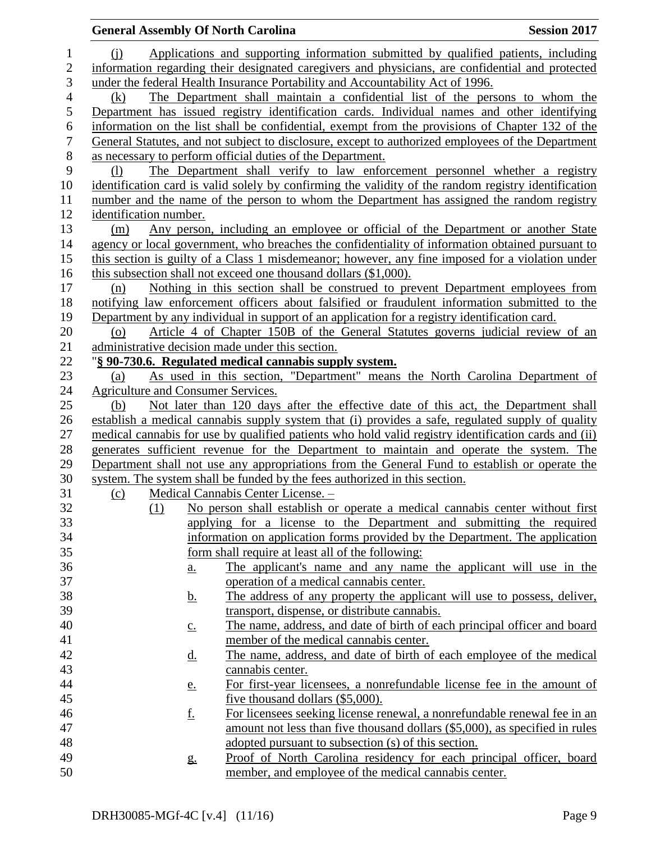|                  | <b>General Assembly Of North Carolina</b> |                                                                                                      | <b>Session 2017</b> |
|------------------|-------------------------------------------|------------------------------------------------------------------------------------------------------|---------------------|
| 1                | $\Omega$                                  | Applications and supporting information submitted by qualified patients, including                   |                     |
| $\overline{2}$   |                                           | information regarding their designated caregivers and physicians, are confidential and protected     |                     |
| 3                |                                           | under the federal Health Insurance Portability and Accountability Act of 1996.                       |                     |
| $\overline{4}$   | (k)                                       | The Department shall maintain a confidential list of the persons to whom the                         |                     |
| 5                |                                           | Department has issued registry identification cards. Individual names and other identifying          |                     |
| 6                |                                           | information on the list shall be confidential, exempt from the provisions of Chapter 132 of the      |                     |
| $\boldsymbol{7}$ |                                           | General Statutes, and not subject to disclosure, except to authorized employees of the Department    |                     |
| $8\,$            |                                           | as necessary to perform official duties of the Department.                                           |                     |
| $\mathbf{9}$     | (1)                                       | The Department shall verify to law enforcement personnel whether a registry                          |                     |
| 10               |                                           | identification card is valid solely by confirming the validity of the random registry identification |                     |
| 11               |                                           | number and the name of the person to whom the Department has assigned the random registry            |                     |
| 12               | identification number.                    |                                                                                                      |                     |
| 13               | (m)                                       | Any person, including an employee or official of the Department or another State                     |                     |
| 14               |                                           | agency or local government, who breaches the confidentiality of information obtained pursuant to     |                     |
| 15               |                                           | this section is guilty of a Class 1 misdemeanor; however, any fine imposed for a violation under     |                     |
| 16               |                                           | this subsection shall not exceed one thousand dollars (\$1,000).                                     |                     |
| 17               | (n)                                       | Nothing in this section shall be construed to prevent Department employees from                      |                     |
| 18               |                                           | notifying law enforcement officers about falsified or fraudulent information submitted to the        |                     |
| 19               |                                           | Department by any individual in support of an application for a registry identification card.        |                     |
| 20               | (0)                                       | Article 4 of Chapter 150B of the General Statutes governs judicial review of an                      |                     |
| 21               |                                           | administrative decision made under this section.                                                     |                     |
| 22               |                                           | "§ 90-730.6. Regulated medical cannabis supply system.                                               |                     |
| 23               | (a)                                       | As used in this section, "Department" means the North Carolina Department of                         |                     |
| 24               | Agriculture and Consumer Services.        |                                                                                                      |                     |
| 25               | (b)                                       | Not later than 120 days after the effective date of this act, the Department shall                   |                     |
| 26               |                                           | establish a medical cannabis supply system that (i) provides a safe, regulated supply of quality     |                     |
| 27               |                                           | medical cannabis for use by qualified patients who hold valid registry identification cards and (ii) |                     |
| 28               |                                           | generates sufficient revenue for the Department to maintain and operate the system. The              |                     |
| 29               |                                           | Department shall not use any appropriations from the General Fund to establish or operate the        |                     |
| 30               |                                           | system. The system shall be funded by the fees authorized in this section.                           |                     |
| 31               | (c)                                       | Medical Cannabis Center License. -                                                                   |                     |
| 32               | (1)                                       | No person shall establish or operate a medical cannabis center without first                         |                     |
| 33               |                                           | applying for a license to the Department and submitting the required                                 |                     |
| 34               |                                           | information on application forms provided by the Department. The application                         |                     |
| 35               |                                           | form shall require at least all of the following:                                                    |                     |
| 36               | $\underline{a}$ .                         | The applicant's name and any name the applicant will use in the                                      |                     |
| 37               |                                           | operation of a medical cannabis center.                                                              |                     |
| 38               | <u>b.</u>                                 | The address of any property the applicant will use to possess, deliver,                              |                     |
| 39               |                                           | transport, dispense, or distribute cannabis.                                                         |                     |
| 40               | $\underline{c}$ .                         | The name, address, and date of birth of each principal officer and board                             |                     |
| 41               |                                           | member of the medical cannabis center.                                                               |                     |
| 42               | <u>d.</u>                                 | The name, address, and date of birth of each employee of the medical                                 |                     |
| 43               |                                           | cannabis center.                                                                                     |                     |
| 44               | <u>e.</u>                                 | For first-year licensees, a nonrefundable license fee in the amount of                               |                     |
| 45               |                                           | five thousand dollars (\$5,000).                                                                     |                     |
| 46               | <u>f.</u>                                 | For licensees seeking license renewal, a nonrefundable renewal fee in an                             |                     |
| 47               |                                           | amount not less than five thousand dollars (\$5,000), as specified in rules                          |                     |
| 48               |                                           | adopted pursuant to subsection (s) of this section.                                                  |                     |
| 49               | g.                                        | Proof of North Carolina residency for each principal officer, board                                  |                     |
| 50               |                                           | member, and employee of the medical cannabis center.                                                 |                     |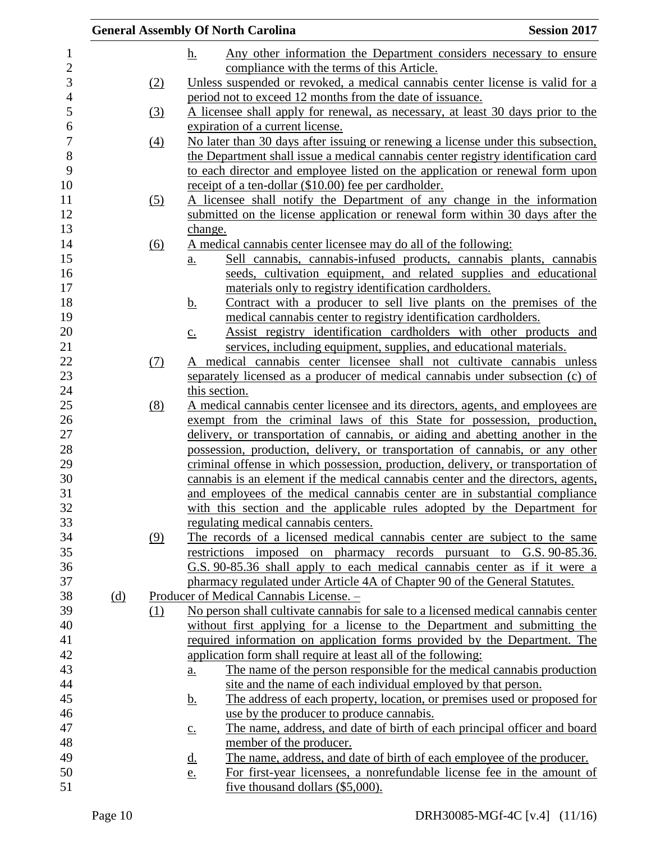|     |     | <b>General Assembly Of North Carolina</b>                                                     | <b>Session 2017</b> |
|-----|-----|-----------------------------------------------------------------------------------------------|---------------------|
|     |     | Any other information the Department considers necessary to ensure<br><u>h.</u>               |                     |
|     |     | compliance with the terms of this Article.                                                    |                     |
|     | (2) | Unless suspended or revoked, a medical cannabis center license is valid for a                 |                     |
|     |     | period not to exceed 12 months from the date of issuance.                                     |                     |
|     | (3) | A licensee shall apply for renewal, as necessary, at least 30 days prior to the               |                     |
|     |     | expiration of a current license.                                                              |                     |
|     | (4) | No later than 30 days after issuing or renewing a license under this subsection,              |                     |
|     |     | the Department shall issue a medical cannabis center registry identification card             |                     |
|     |     | to each director and employee listed on the application or renewal form upon                  |                     |
|     |     | receipt of a ten-dollar (\$10.00) fee per cardholder.                                         |                     |
|     | (5) | A licensee shall notify the Department of any change in the information                       |                     |
|     |     | submitted on the license application or renewal form within 30 days after the                 |                     |
|     |     | change.                                                                                       |                     |
|     | (6) | A medical cannabis center licensee may do all of the following:                               |                     |
|     |     | Sell cannabis, cannabis-infused products, cannabis plants, cannabis<br>$\underline{a}$ .      |                     |
|     |     | seeds, cultivation equipment, and related supplies and educational                            |                     |
|     |     | materials only to registry identification cardholders.                                        |                     |
|     |     | Contract with a producer to sell live plants on the premises of the<br><u>b.</u>              |                     |
|     |     | medical cannabis center to registry identification cardholders.                               |                     |
|     |     | Assist registry identification cardholders with other products and<br>$\underline{c}$ .       |                     |
|     |     | services, including equipment, supplies, and educational materials.                           |                     |
|     | (7) | A medical cannabis center licensee shall not cultivate cannabis unless                        |                     |
|     |     | separately licensed as a producer of medical cannabis under subsection (c) of                 |                     |
|     |     | this section.                                                                                 |                     |
|     | (8) | A medical cannabis center licensee and its directors, agents, and employees are               |                     |
|     |     | exempt from the criminal laws of this State for possession, production,                       |                     |
|     |     | delivery, or transportation of cannabis, or aiding and abetting another in the                |                     |
|     |     | possession, production, delivery, or transportation of cannabis, or any other                 |                     |
|     |     | criminal offense in which possession, production, delivery, or transportation of              |                     |
|     |     | cannabis is an element if the medical cannabis center and the directors, agents,              |                     |
|     |     | and employees of the medical cannabis center are in substantial compliance                    |                     |
|     |     | with this section and the applicable rules adopted by the Department for                      |                     |
|     |     | regulating medical cannabis centers.                                                          |                     |
|     | (9) | The records of a licensed medical cannabis center are subject to the same                     |                     |
|     |     | restrictions imposed on pharmacy records pursuant to G.S. 90-85.36.                           |                     |
|     |     | G.S. 90-85.36 shall apply to each medical cannabis center as if it were a                     |                     |
|     |     | pharmacy regulated under Article 4A of Chapter 90 of the General Statutes.                    |                     |
| (d) |     | Producer of Medical Cannabis License. -                                                       |                     |
|     | (1) | No person shall cultivate cannabis for sale to a licensed medical cannabis center             |                     |
|     |     | without first applying for a license to the Department and submitting the                     |                     |
|     |     | required information on application forms provided by the Department. The                     |                     |
|     |     | application form shall require at least all of the following:                                 |                     |
|     |     | The name of the person responsible for the medical cannabis production<br>$\underline{a}$ .   |                     |
|     |     | site and the name of each individual employed by that person.                                 |                     |
|     |     | The address of each property, location, or premises used or proposed for<br><u>b.</u>         |                     |
|     |     | use by the producer to produce cannabis.                                                      |                     |
|     |     | The name, address, and date of birth of each principal officer and board<br>$\underline{c}$ . |                     |
|     |     | member of the producer.                                                                       |                     |
|     |     | The name, address, and date of birth of each employee of the producer.<br><u>d.</u>           |                     |
|     |     | For first-year licensees, a nonrefundable license fee in the amount of<br><u>e.</u>           |                     |
|     |     | five thousand dollars $(\$5,000)$ .                                                           |                     |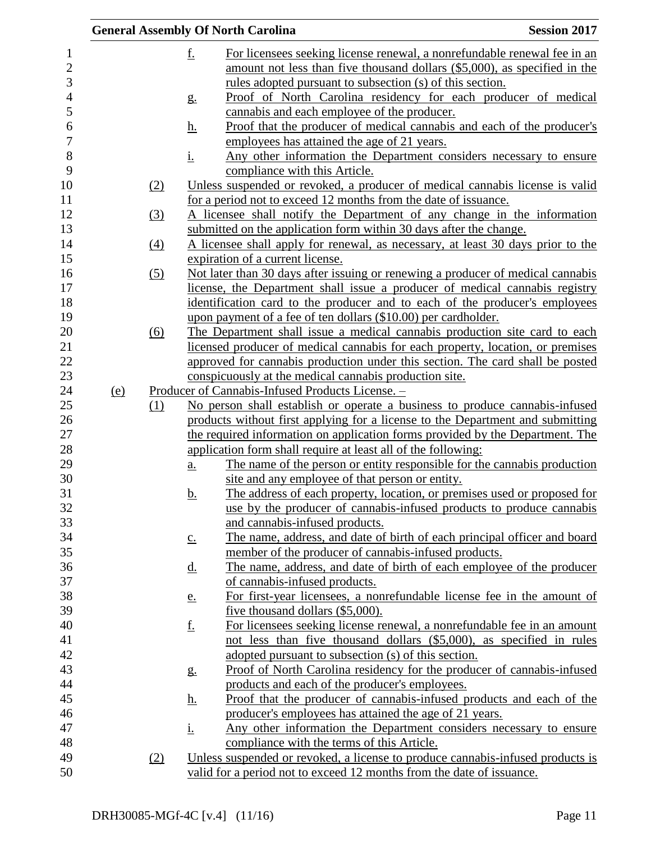|                              |            |                  |                   | <b>General Assembly Of North Carolina</b>                                                                                                             | <b>Session 2017</b> |
|------------------------------|------------|------------------|-------------------|-------------------------------------------------------------------------------------------------------------------------------------------------------|---------------------|
| $\mathbf{1}$<br>$\mathbf{2}$ |            |                  | <u>f.</u>         | For licensees seeking license renewal, a nonrefundable renewal fee in an<br>amount not less than five thousand dollars (\$5,000), as specified in the |                     |
| 3                            |            |                  |                   | rules adopted pursuant to subsection (s) of this section.                                                                                             |                     |
| $\overline{4}$<br>5          |            |                  | g.                | Proof of North Carolina residency for each producer of medical                                                                                        |                     |
| 6                            |            |                  | <u>h.</u>         | cannabis and each employee of the producer.<br>Proof that the producer of medical cannabis and each of the producer's                                 |                     |
| $\boldsymbol{7}$             |            |                  |                   | employees has attained the age of 21 years.                                                                                                           |                     |
| $8\,$                        |            |                  | <u>i.</u>         | Any other information the Department considers necessary to ensure                                                                                    |                     |
| 9                            |            |                  |                   | compliance with this Article.                                                                                                                         |                     |
| 10                           |            | (2)              |                   | Unless suspended or revoked, a producer of medical cannabis license is valid                                                                          |                     |
| 11                           |            |                  |                   | for a period not to exceed 12 months from the date of issuance.                                                                                       |                     |
| 12                           |            | (3)              |                   | A licensee shall notify the Department of any change in the information                                                                               |                     |
| 13                           |            |                  |                   | submitted on the application form within 30 days after the change.                                                                                    |                     |
| 14                           |            | $\left(4\right)$ |                   | A licensee shall apply for renewal, as necessary, at least 30 days prior to the                                                                       |                     |
| 15                           |            |                  |                   | expiration of a current license.                                                                                                                      |                     |
| 16                           |            | (5)              |                   | Not later than 30 days after issuing or renewing a producer of medical cannabis                                                                       |                     |
| 17                           |            |                  |                   | license, the Department shall issue a producer of medical cannabis registry                                                                           |                     |
| 18                           |            |                  |                   | identification card to the producer and to each of the producer's employees                                                                           |                     |
| 19                           |            |                  |                   | upon payment of a fee of ten dollars (\$10.00) per cardholder.                                                                                        |                     |
| 20                           |            | (6)              |                   | The Department shall issue a medical cannabis production site card to each                                                                            |                     |
| 21                           |            |                  |                   | licensed producer of medical cannabis for each property, location, or premises                                                                        |                     |
| 22                           |            |                  |                   | approved for cannabis production under this section. The card shall be posted                                                                         |                     |
| 23                           |            |                  |                   | conspicuously at the medical cannabis production site.                                                                                                |                     |
| 24                           | <u>(e)</u> |                  |                   | <u>Producer of Cannabis-Infused Products License. -</u>                                                                                               |                     |
| 25                           |            | (1)              |                   | No person shall establish or operate a business to produce cannabis-infused                                                                           |                     |
| 26                           |            |                  |                   | products without first applying for a license to the Department and submitting                                                                        |                     |
| 27                           |            |                  |                   | the required information on application forms provided by the Department. The                                                                         |                     |
| $28\,$                       |            |                  |                   | application form shall require at least all of the following:                                                                                         |                     |
| 29                           |            |                  | $\underline{a}$ . | The name of the person or entity responsible for the cannabis production                                                                              |                     |
| 30                           |            |                  |                   | site and any employee of that person or entity.                                                                                                       |                     |
| 31                           |            |                  | b.                | The address of each property, location, or premises used or proposed for                                                                              |                     |
| 32<br>33                     |            |                  |                   | use by the producer of cannabis-infused products to produce cannabis                                                                                  |                     |
| 34                           |            |                  |                   | and cannabis-infused products.<br>The name, address, and date of birth of each principal officer and board                                            |                     |
| 35                           |            |                  | $\underline{c}$ . | member of the producer of cannabis-infused products.                                                                                                  |                     |
| 36                           |            |                  | <u>d.</u>         | The name, address, and date of birth of each employee of the producer                                                                                 |                     |
| 37                           |            |                  |                   | of cannabis-infused products.                                                                                                                         |                     |
| 38                           |            |                  | <u>e.</u>         | For first-year licensees, a nonrefundable license fee in the amount of                                                                                |                     |
| 39                           |            |                  |                   | five thousand dollars (\$5,000).                                                                                                                      |                     |
| 40                           |            |                  | <u>f.</u>         | For licensees seeking license renewal, a nonrefundable fee in an amount                                                                               |                     |
| 41                           |            |                  |                   | not less than five thousand dollars (\$5,000), as specified in rules                                                                                  |                     |
| 42                           |            |                  |                   | adopted pursuant to subsection (s) of this section.                                                                                                   |                     |
| 43                           |            |                  | $g_{\cdot}$       | Proof of North Carolina residency for the producer of cannabis-infused                                                                                |                     |
| 44                           |            |                  |                   | products and each of the producer's employees.                                                                                                        |                     |
| 45                           |            |                  | <u>h.</u>         | Proof that the producer of cannabis-infused products and each of the                                                                                  |                     |
| 46                           |            |                  |                   | producer's employees has attained the age of 21 years.                                                                                                |                     |
| 47                           |            |                  | <u>i.</u>         | Any other information the Department considers necessary to ensure                                                                                    |                     |
| 48                           |            |                  |                   | compliance with the terms of this Article.                                                                                                            |                     |
| 49                           |            | (2)              |                   | Unless suspended or revoked, a license to produce cannabis-infused products is                                                                        |                     |
| 50                           |            |                  |                   | valid for a period not to exceed 12 months from the date of issuance.                                                                                 |                     |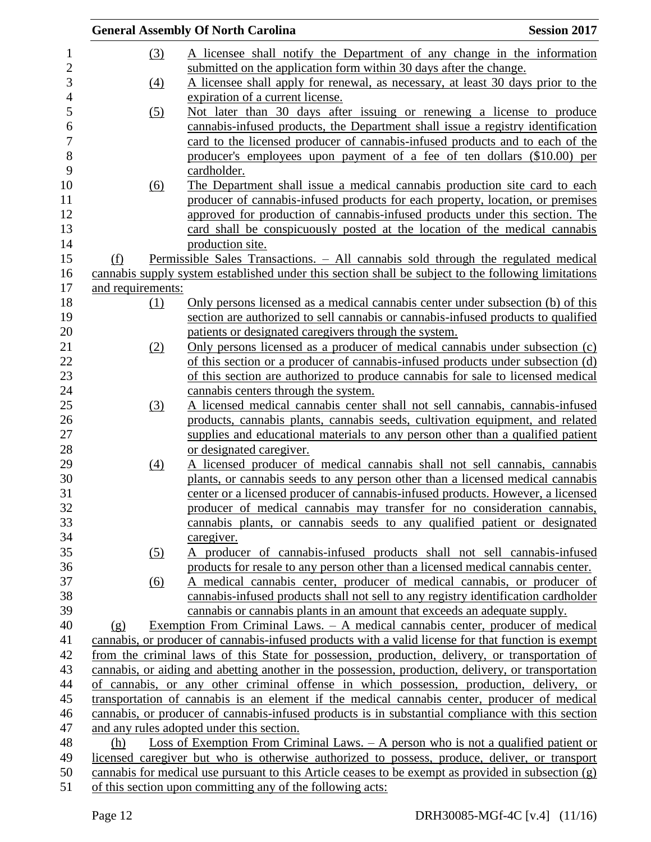|                   |                   | <b>General Assembly Of North Carolina</b>                                                             | <b>Session 2017</b> |
|-------------------|-------------------|-------------------------------------------------------------------------------------------------------|---------------------|
|                   | (3)               | A licensee shall notify the Department of any change in the information                               |                     |
|                   |                   | submitted on the application form within 30 days after the change.                                    |                     |
|                   | $\underline{(4)}$ | A licensee shall apply for renewal, as necessary, at least 30 days prior to the                       |                     |
|                   |                   | expiration of a current license.                                                                      |                     |
|                   | (5)               | Not later than 30 days after issuing or renewing a license to produce                                 |                     |
|                   |                   | cannabis-infused products, the Department shall issue a registry identification                       |                     |
|                   |                   | card to the licensed producer of cannabis-infused products and to each of the                         |                     |
|                   |                   | producer's employees upon payment of a fee of ten dollars (\$10.00) per                               |                     |
|                   |                   | cardholder.                                                                                           |                     |
|                   | <u>(6)</u>        | The Department shall issue a medical cannabis production site card to each                            |                     |
|                   |                   | producer of cannabis-infused products for each property, location, or premises                        |                     |
|                   |                   | approved for production of cannabis-infused products under this section. The                          |                     |
|                   |                   | card shall be conspicuously posted at the location of the medical cannabis                            |                     |
|                   |                   | production site.                                                                                      |                     |
| (f)               |                   | Permissible Sales Transactions. - All cannabis sold through the regulated medical                     |                     |
|                   |                   | cannabis supply system established under this section shall be subject to the following limitations   |                     |
| and requirements: |                   |                                                                                                       |                     |
|                   |                   |                                                                                                       |                     |
|                   | (1)               | Only persons licensed as a medical cannabis center under subsection (b) of this                       |                     |
|                   |                   | section are authorized to sell cannabis or cannabis-infused products to qualified                     |                     |
|                   |                   | patients or designated caregivers through the system.                                                 |                     |
|                   | (2)               | Only persons licensed as a producer of medical cannabis under subsection (c)                          |                     |
|                   |                   | of this section or a producer of cannabis-infused products under subsection (d)                       |                     |
|                   |                   | of this section are authorized to produce cannabis for sale to licensed medical                       |                     |
|                   |                   | cannabis centers through the system.                                                                  |                     |
|                   | (3)               | A licensed medical cannabis center shall not sell cannabis, cannabis-infused                          |                     |
|                   |                   | products, cannabis plants, cannabis seeds, cultivation equipment, and related                         |                     |
|                   |                   | supplies and educational materials to any person other than a qualified patient                       |                     |
|                   |                   | or designated caregiver.                                                                              |                     |
|                   | $\underline{(4)}$ | A licensed producer of medical cannabis shall not sell cannabis, cannabis                             |                     |
|                   |                   | plants, or cannabis seeds to any person other than a licensed medical cannabis                        |                     |
|                   |                   | center or a licensed producer of cannabis-infused products. However, a licensed                       |                     |
|                   |                   | producer of medical cannabis may transfer for no consideration cannabis,                              |                     |
|                   |                   | cannabis plants, or cannabis seeds to any qualified patient or designated                             |                     |
|                   |                   | caregiver.                                                                                            |                     |
|                   | (5)               | A producer of cannabis-infused products shall not sell cannabis-infused                               |                     |
|                   |                   | products for resale to any person other than a licensed medical cannabis center.                      |                     |
|                   | (6)               | A medical cannabis center, producer of medical cannabis, or producer of                               |                     |
|                   |                   | cannabis-infused products shall not sell to any registry identification cardholder                    |                     |
|                   |                   | cannabis or cannabis plants in an amount that exceeds an adequate supply.                             |                     |
| (g)               |                   | Exemption From Criminal Laws. $-$ A medical cannabis center, producer of medical                      |                     |
|                   |                   | cannabis, or producer of cannabis-infused products with a valid license for that function is exempt   |                     |
|                   |                   | from the criminal laws of this State for possession, production, delivery, or transportation of       |                     |
|                   |                   | cannabis, or aiding and abetting another in the possession, production, delivery, or transportation   |                     |
|                   |                   | of cannabis, or any other criminal offense in which possession, production, delivery, or              |                     |
|                   |                   | transportation of cannabis is an element if the medical cannabis center, producer of medical          |                     |
|                   |                   | cannabis, or producer of cannabis-infused products is in substantial compliance with this section     |                     |
|                   |                   | and any rules adopted under this section.                                                             |                     |
| (h)               |                   | Loss of Exemption From Criminal Laws. – A person who is not a qualified patient or                    |                     |
|                   |                   | licensed caregiver but who is otherwise authorized to possess, produce, deliver, or transport         |                     |
|                   |                   | cannabis for medical use pursuant to this Article ceases to be exempt as provided in subsection $(g)$ |                     |
|                   |                   | of this section upon committing any of the following acts:                                            |                     |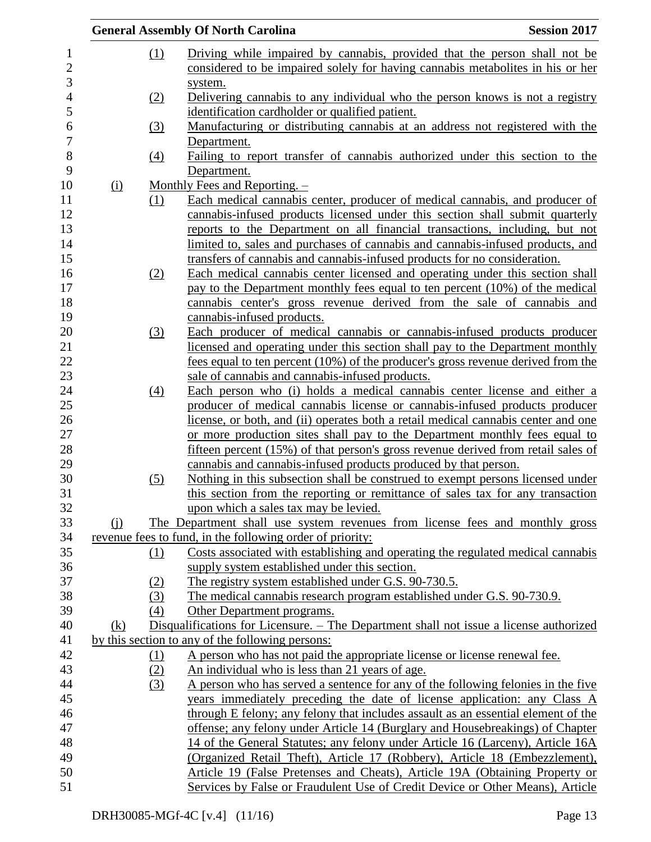|                |     |                  | <b>General Assembly Of North Carolina</b>                                                                                                                        | <b>Session 2017</b> |
|----------------|-----|------------------|------------------------------------------------------------------------------------------------------------------------------------------------------------------|---------------------|
|                |     | (1)              | Driving while impaired by cannabis, provided that the person shall not be                                                                                        |                     |
| $\overline{c}$ |     |                  | considered to be impaired solely for having cannabis metabolities in his or her                                                                                  |                     |
| 3              |     |                  | system.                                                                                                                                                          |                     |
|                |     | (2)              | Delivering cannabis to any individual who the person knows is not a registry                                                                                     |                     |
|                |     |                  | identification cardholder or qualified patient.                                                                                                                  |                     |
|                |     | (3)              | Manufacturing or distributing cannabis at an address not registered with the                                                                                     |                     |
|                |     |                  | Department.                                                                                                                                                      |                     |
|                |     | (4)              | Failing to report transfer of cannabis authorized under this section to the                                                                                      |                     |
|                |     |                  | Department.                                                                                                                                                      |                     |
|                | (i) |                  | Monthly Fees and Reporting. -                                                                                                                                    |                     |
|                |     | (1)              | Each medical cannabis center, producer of medical cannabis, and producer of                                                                                      |                     |
|                |     |                  | cannabis-infused products licensed under this section shall submit quarterly                                                                                     |                     |
|                |     |                  | reports to the Department on all financial transactions, including, but not                                                                                      |                     |
|                |     |                  | limited to, sales and purchases of cannabis and cannabis-infused products, and                                                                                   |                     |
|                |     |                  | transfers of cannabis and cannabis-infused products for no consideration.                                                                                        |                     |
|                |     | (2)              | Each medical cannabis center licensed and operating under this section shall                                                                                     |                     |
|                |     |                  | pay to the Department monthly fees equal to ten percent (10%) of the medical                                                                                     |                     |
|                |     |                  | cannabis center's gross revenue derived from the sale of cannabis and                                                                                            |                     |
|                |     |                  | cannabis-infused products.                                                                                                                                       |                     |
|                |     | (3)              | Each producer of medical cannabis or cannabis-infused products producer                                                                                          |                     |
|                |     |                  | licensed and operating under this section shall pay to the Department monthly                                                                                    |                     |
|                |     |                  | fees equal to ten percent (10%) of the producer's gross revenue derived from the                                                                                 |                     |
|                |     |                  | sale of cannabis and cannabis-infused products.                                                                                                                  |                     |
|                |     | $\left(4\right)$ | Each person who (i) holds a medical cannabis center license and either a                                                                                         |                     |
|                |     |                  | producer of medical cannabis license or cannabis-infused products producer                                                                                       |                     |
|                |     |                  | license, or both, and (ii) operates both a retail medical cannabis center and one                                                                                |                     |
|                |     |                  | or more production sites shall pay to the Department monthly fees equal to                                                                                       |                     |
|                |     |                  | fifteen percent (15%) of that person's gross revenue derived from retail sales of                                                                                |                     |
|                |     |                  | cannabis and cannabis-infused products produced by that person.                                                                                                  |                     |
|                |     | (5)              | Nothing in this subsection shall be construed to exempt persons licensed under<br>this section from the reporting or remittance of sales tax for any transaction |                     |
|                |     |                  | upon which a sales tax may be levied.                                                                                                                            |                     |
|                | (i) |                  | The Department shall use system revenues from license fees and monthly gross                                                                                     |                     |
|                |     |                  | revenue fees to fund, in the following order of priority:                                                                                                        |                     |
|                |     | (1)              | Costs associated with establishing and operating the regulated medical cannabis                                                                                  |                     |
|                |     |                  | supply system established under this section.                                                                                                                    |                     |
|                |     | (2)              | The registry system established under G.S. 90-730.5.                                                                                                             |                     |
|                |     | (3)              | The medical cannabis research program established under G.S. 90-730.9.                                                                                           |                     |
|                |     | (4)              | Other Department programs.                                                                                                                                       |                     |
|                | (k) |                  | Disqualifications for Licensure. – The Department shall not issue a license authorized                                                                           |                     |
|                |     |                  | by this section to any of the following persons:                                                                                                                 |                     |
|                |     | (1)              | A person who has not paid the appropriate license or license renewal fee.                                                                                        |                     |
|                |     | (2)              | An individual who is less than 21 years of age.                                                                                                                  |                     |
|                |     | (3)              | A person who has served a sentence for any of the following felonies in the five                                                                                 |                     |
|                |     |                  | years immediately preceding the date of license application: any Class A                                                                                         |                     |
|                |     |                  | through E felony; any felony that includes assault as an essential element of the                                                                                |                     |
|                |     |                  | offense; any felony under Article 14 (Burglary and Housebreakings) of Chapter                                                                                    |                     |
|                |     |                  | 14 of the General Statutes; any felony under Article 16 (Larceny), Article 16A                                                                                   |                     |
|                |     |                  | (Organized Retail Theft), Article 17 (Robbery), Article 18 (Embezzlement),                                                                                       |                     |
|                |     |                  | Article 19 (False Pretenses and Cheats), Article 19A (Obtaining Property or                                                                                      |                     |
|                |     |                  | Services by False or Fraudulent Use of Credit Device or Other Means), Article                                                                                    |                     |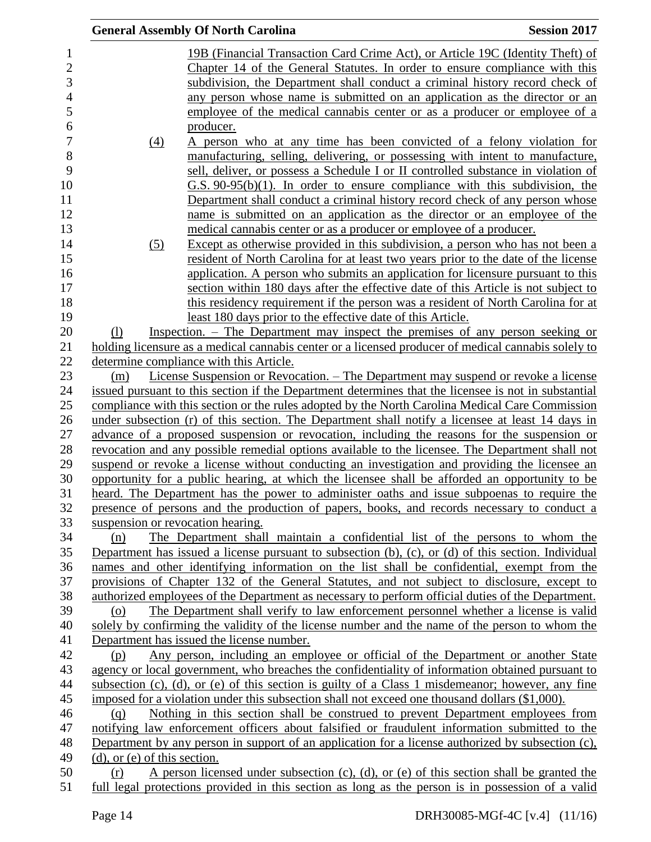|                                   | <b>General Assembly Of North Carolina</b>                                                                                                                             | <b>Session 2017</b> |
|-----------------------------------|-----------------------------------------------------------------------------------------------------------------------------------------------------------------------|---------------------|
|                                   | 19B (Financial Transaction Card Crime Act), or Article 19C (Identity Theft) of                                                                                        |                     |
|                                   | Chapter 14 of the General Statutes. In order to ensure compliance with this                                                                                           |                     |
|                                   | subdivision, the Department shall conduct a criminal history record check of                                                                                          |                     |
|                                   | any person whose name is submitted on an application as the director or an                                                                                            |                     |
|                                   | employee of the medical cannabis center or as a producer or employee of a                                                                                             |                     |
|                                   | producer.                                                                                                                                                             |                     |
|                                   | A person who at any time has been convicted of a felony violation for                                                                                                 |                     |
| $\left(4\right)$                  |                                                                                                                                                                       |                     |
|                                   | manufacturing, selling, delivering, or possessing with intent to manufacture,<br>sell, deliver, or possess a Schedule I or II controlled substance in violation of    |                     |
|                                   |                                                                                                                                                                       |                     |
|                                   | $G.S. 90-95(b)(1)$ . In order to ensure compliance with this subdivision, the                                                                                         |                     |
|                                   | Department shall conduct a criminal history record check of any person whose<br>name is submitted on an application as the director or an employee of the             |                     |
|                                   |                                                                                                                                                                       |                     |
|                                   | medical cannabis center or as a producer or employee of a producer.<br>Except as otherwise provided in this subdivision, a person who has not been a                  |                     |
| (5)                               |                                                                                                                                                                       |                     |
|                                   | resident of North Carolina for at least two years prior to the date of the license                                                                                    |                     |
|                                   | application. A person who submits an application for licensure pursuant to this<br>section within 180 days after the effective date of this Article is not subject to |                     |
|                                   | this residency requirement if the person was a resident of North Carolina for at                                                                                      |                     |
|                                   | least 180 days prior to the effective date of this Article.                                                                                                           |                     |
| (1)                               | Inspection. – The Department may inspect the premises of any person seeking or                                                                                        |                     |
|                                   | holding licensure as a medical cannabis center or a licensed producer of medical cannabis solely to                                                                   |                     |
|                                   | determine compliance with this Article.                                                                                                                               |                     |
| (m)                               | <u>License Suspension or Revocation. – The Department may suspend or revoke a license</u>                                                                             |                     |
|                                   | issued pursuant to this section if the Department determines that the licensee is not in substantial                                                                  |                     |
|                                   | compliance with this section or the rules adopted by the North Carolina Medical Care Commission                                                                       |                     |
|                                   | under subsection (r) of this section. The Department shall notify a licensee at least 14 days in                                                                      |                     |
|                                   | advance of a proposed suspension or revocation, including the reasons for the suspension or                                                                           |                     |
|                                   | revocation and any possible remedial options available to the licensee. The Department shall not                                                                      |                     |
|                                   | suspend or revoke a license without conducting an investigation and providing the licensee an                                                                         |                     |
|                                   | opportunity for a public hearing, at which the licensee shall be afforded an opportunity to be                                                                        |                     |
|                                   | heard. The Department has the power to administer oaths and issue subpoenas to require the                                                                            |                     |
|                                   | presence of persons and the production of papers, books, and records necessary to conduct a                                                                           |                     |
|                                   | suspension or revocation hearing.                                                                                                                                     |                     |
| (n)                               | The Department shall maintain a confidential list of the persons to whom the                                                                                          |                     |
|                                   | Department has issued a license pursuant to subsection $(b)$ , $(c)$ , or $(d)$ of this section. Individual                                                           |                     |
|                                   | names and other identifying information on the list shall be confidential, exempt from the                                                                            |                     |
|                                   | provisions of Chapter 132 of the General Statutes, and not subject to disclosure, except to                                                                           |                     |
|                                   | authorized employees of the Department as necessary to perform official duties of the Department.                                                                     |                     |
| (o)                               | The Department shall verify to law enforcement personnel whether a license is valid                                                                                   |                     |
|                                   | solely by confirming the validity of the license number and the name of the person to whom the                                                                        |                     |
|                                   | Department has issued the license number.                                                                                                                             |                     |
| (p)                               | Any person, including an employee or official of the Department or another State                                                                                      |                     |
|                                   | agency or local government, who breaches the confidentiality of information obtained pursuant to                                                                      |                     |
|                                   | subsection (c), (d), or (e) of this section is guilty of a Class 1 misdemeanor; however, any fine                                                                     |                     |
|                                   | imposed for a violation under this subsection shall not exceed one thousand dollars (\$1,000).                                                                        |                     |
| (q)                               | Nothing in this section shall be construed to prevent Department employees from                                                                                       |                     |
|                                   | notifying law enforcement officers about falsified or fraudulent information submitted to the                                                                         |                     |
|                                   | Department by any person in support of an application for a license authorized by subsection (c),                                                                     |                     |
| $(d)$ , or $(e)$ of this section. |                                                                                                                                                                       |                     |
| (r)                               | A person licensed under subsection $(c)$ , $(d)$ , or $(e)$ of this section shall be granted the                                                                      |                     |
|                                   | full legal protections provided in this section as long as the person is in possession of a valid                                                                     |                     |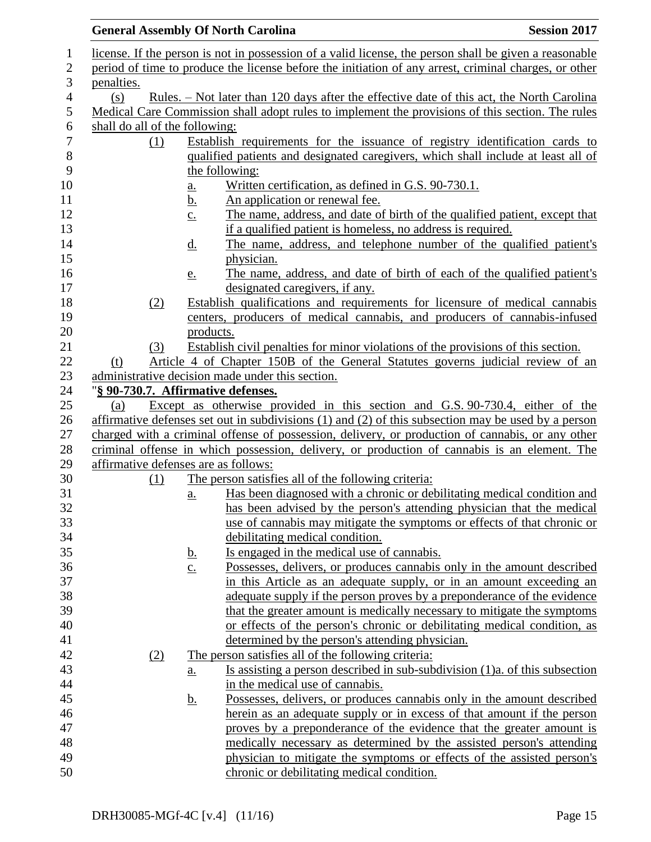|                |                                |     |                            | <b>General Assembly Of North Carolina</b>                                                                                                                                                | <b>Session 2017</b> |
|----------------|--------------------------------|-----|----------------------------|------------------------------------------------------------------------------------------------------------------------------------------------------------------------------------------|---------------------|
|                |                                |     |                            | license. If the person is not in possession of a valid license, the person shall be given a reasonable                                                                                   |                     |
| $\overline{c}$ |                                |     |                            | period of time to produce the license before the initiation of any arrest, criminal charges, or other                                                                                    |                     |
| 3              | penalties.                     |     |                            |                                                                                                                                                                                          |                     |
| $\overline{4}$ | (s)                            |     |                            | Rules. – Not later than 120 days after the effective date of this act, the North Carolina                                                                                                |                     |
|                |                                |     |                            | Medical Care Commission shall adopt rules to implement the provisions of this section. The rules                                                                                         |                     |
|                | shall do all of the following: |     |                            |                                                                                                                                                                                          |                     |
|                |                                | (1) |                            | Establish requirements for the issuance of registry identification cards to                                                                                                              |                     |
|                |                                |     |                            | qualified patients and designated caregivers, which shall include at least all of                                                                                                        |                     |
|                |                                |     |                            | the following:                                                                                                                                                                           |                     |
|                |                                |     | <u>a.</u>                  | Written certification, as defined in G.S. 90-730.1.                                                                                                                                      |                     |
|                |                                |     | <u>b.</u>                  | An application or renewal fee.                                                                                                                                                           |                     |
|                |                                |     | $\underline{c}$ .          | The name, address, and date of birth of the qualified patient, except that                                                                                                               |                     |
|                |                                |     |                            | if a qualified patient is homeless, no address is required.                                                                                                                              |                     |
|                |                                |     | <u>d.</u>                  | The name, address, and telephone number of the qualified patient's                                                                                                                       |                     |
|                |                                |     |                            | physician.                                                                                                                                                                               |                     |
|                |                                |     | <u>e.</u>                  | The name, address, and date of birth of each of the qualified patient's                                                                                                                  |                     |
|                |                                |     |                            | designated caregivers, if any.                                                                                                                                                           |                     |
|                |                                | (2) |                            | Establish qualifications and requirements for licensure of medical cannabis                                                                                                              |                     |
|                |                                |     |                            | centers, producers of medical cannabis, and producers of cannabis-infused                                                                                                                |                     |
|                |                                |     | products.                  |                                                                                                                                                                                          |                     |
|                |                                | (3) |                            | Establish civil penalties for minor violations of the provisions of this section.                                                                                                        |                     |
|                | (t)                            |     |                            | Article 4 of Chapter 150B of the General Statutes governs judicial review of an                                                                                                          |                     |
|                |                                |     |                            | administrative decision made under this section.                                                                                                                                         |                     |
|                |                                |     |                            | "§ 90-730.7. Affirmative defenses.                                                                                                                                                       |                     |
|                | (a)                            |     |                            | Except as otherwise provided in this section and G.S. 90-730.4, either of the<br>affirmative defenses set out in subdivisions $(1)$ and $(2)$ of this subsection may be used by a person |                     |
|                |                                |     |                            | charged with a criminal offense of possession, delivery, or production of cannabis, or any other                                                                                         |                     |
|                |                                |     |                            | criminal offense in which possession, delivery, or production of cannabis is an element. The                                                                                             |                     |
|                |                                |     |                            | affirmative defenses are as follows:                                                                                                                                                     |                     |
|                |                                | (1) |                            | The person satisfies all of the following criteria:                                                                                                                                      |                     |
|                |                                |     | $\underline{a}$ .          | Has been diagnosed with a chronic or debilitating medical condition and                                                                                                                  |                     |
|                |                                |     |                            | has been advised by the person's attending physician that the medical                                                                                                                    |                     |
|                |                                |     |                            | use of cannabis may mitigate the symptoms or effects of that chronic or                                                                                                                  |                     |
|                |                                |     |                            | debilitating medical condition.                                                                                                                                                          |                     |
|                |                                |     | <u>b.</u>                  | Is engaged in the medical use of cannabis.                                                                                                                                               |                     |
|                |                                |     | $\underline{c}$ .          | Possesses, delivers, or produces cannabis only in the amount described                                                                                                                   |                     |
|                |                                |     |                            | in this Article as an adequate supply, or in an amount exceeding an                                                                                                                      |                     |
|                |                                |     |                            | adequate supply if the person proves by a preponderance of the evidence                                                                                                                  |                     |
|                |                                |     |                            | that the greater amount is medically necessary to mitigate the symptoms                                                                                                                  |                     |
|                |                                |     |                            | or effects of the person's chronic or debilitating medical condition, as                                                                                                                 |                     |
|                |                                |     |                            | determined by the person's attending physician.                                                                                                                                          |                     |
|                |                                | (2) |                            | The person satisfies all of the following criteria:                                                                                                                                      |                     |
|                |                                |     | $\underline{\mathbf{a}}$ . | Is assisting a person described in sub-subdivision (1)a. of this subsection                                                                                                              |                     |
|                |                                |     |                            | in the medical use of cannabis.                                                                                                                                                          |                     |
|                |                                |     | <u>b.</u>                  | Possesses, delivers, or produces cannabis only in the amount described                                                                                                                   |                     |
|                |                                |     |                            | herein as an adequate supply or in excess of that amount if the person                                                                                                                   |                     |
|                |                                |     |                            | proves by a preponderance of the evidence that the greater amount is                                                                                                                     |                     |
|                |                                |     |                            | medically necessary as determined by the assisted person's attending                                                                                                                     |                     |
|                |                                |     |                            | physician to mitigate the symptoms or effects of the assisted person's                                                                                                                   |                     |
|                |                                |     |                            | chronic or debilitating medical condition.                                                                                                                                               |                     |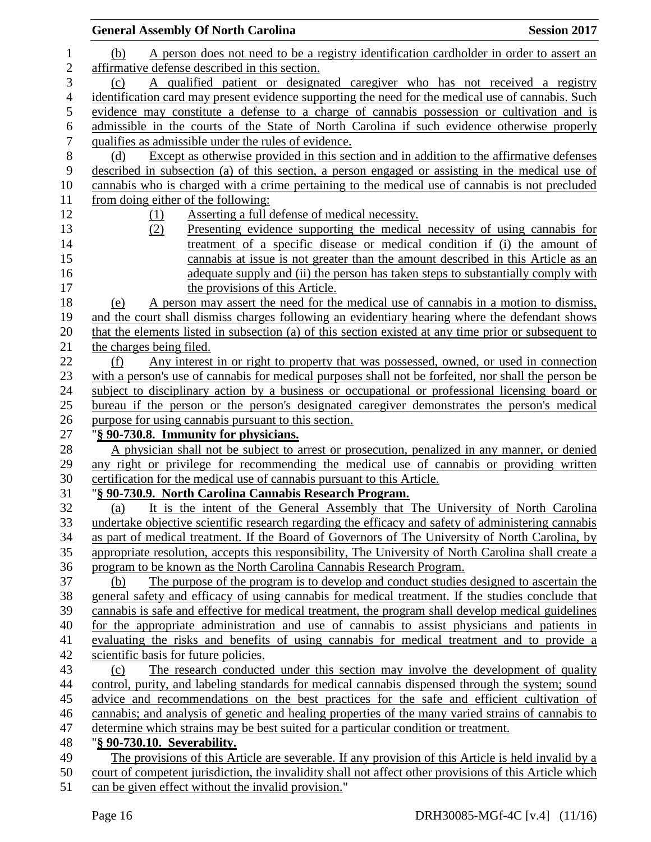|                  | <b>General Assembly Of North Carolina</b><br><b>Session 2017</b>                                                                                                      |
|------------------|-----------------------------------------------------------------------------------------------------------------------------------------------------------------------|
| 1                | A person does not need to be a registry identification cardholder in order to assert an<br>(b)                                                                        |
| $\mathbf{2}$     | affirmative defense described in this section.                                                                                                                        |
| 3                | A qualified patient or designated caregiver who has not received a registry<br>(c)                                                                                    |
| $\overline{4}$   | identification card may present evidence supporting the need for the medical use of cannabis. Such                                                                    |
| $\mathfrak s$    | evidence may constitute a defense to a charge of cannabis possession or cultivation and is                                                                            |
| 6                | admissible in the courts of the State of North Carolina if such evidence otherwise properly                                                                           |
| $\boldsymbol{7}$ | qualifies as admissible under the rules of evidence.                                                                                                                  |
| $8\,$            | Except as otherwise provided in this section and in addition to the affirmative defenses<br>(d)                                                                       |
| 9                | described in subsection (a) of this section, a person engaged or assisting in the medical use of                                                                      |
| 10               | cannabis who is charged with a crime pertaining to the medical use of cannabis is not precluded                                                                       |
| 11               | from doing either of the following:                                                                                                                                   |
| 12               | Asserting a full defense of medical necessity.<br>(1)                                                                                                                 |
| 13               | Presenting evidence supporting the medical necessity of using cannabis for<br>(2)                                                                                     |
| 14               | treatment of a specific disease or medical condition if (i) the amount of                                                                                             |
| 15               | cannabis at issue is not greater than the amount described in this Article as an                                                                                      |
| 16               | adequate supply and (ii) the person has taken steps to substantially comply with                                                                                      |
| 17               | the provisions of this Article.                                                                                                                                       |
| 18               | A person may assert the need for the medical use of cannabis in a motion to dismiss,<br>(e)                                                                           |
| 19               | and the court shall dismiss charges following an evidentiary hearing where the defendant shows                                                                        |
| 20               | that the elements listed in subsection (a) of this section existed at any time prior or subsequent to                                                                 |
| 21               | the charges being filed.                                                                                                                                              |
| 22               | Any interest in or right to property that was possessed, owned, or used in connection<br>(f)                                                                          |
| 23               | with a person's use of cannabis for medical purposes shall not be forfeited, nor shall the person be                                                                  |
| 24               | subject to disciplinary action by a business or occupational or professional licensing board or                                                                       |
| 25               | bureau if the person or the person's designated caregiver demonstrates the person's medical                                                                           |
| 26               | purpose for using cannabis pursuant to this section.                                                                                                                  |
| 27               | "§ 90-730.8. Immunity for physicians.                                                                                                                                 |
| 28               | A physician shall not be subject to arrest or prosecution, penalized in any manner, or denied                                                                         |
| 29               | any right or privilege for recommending the medical use of cannabis or providing written                                                                              |
| 30               | certification for the medical use of cannabis pursuant to this Article.                                                                                               |
| 31               | "§ 90-730.9. North Carolina Cannabis Research Program.                                                                                                                |
| 32               | It is the intent of the General Assembly that The University of North Carolina<br>(a)                                                                                 |
| 33               | undertake objective scientific research regarding the efficacy and safety of administering cannabis                                                                   |
| 34               | as part of medical treatment. If the Board of Governors of The University of North Carolina, by                                                                       |
| 35<br>36         | appropriate resolution, accepts this responsibility, The University of North Carolina shall create a                                                                  |
| 37               | program to be known as the North Carolina Cannabis Research Program.<br>The purpose of the program is to develop and conduct studies designed to ascertain the<br>(b) |
| 38               | general safety and efficacy of using cannabis for medical treatment. If the studies conclude that                                                                     |
| 39               | cannabis is safe and effective for medical treatment, the program shall develop medical guidelines                                                                    |
| 40               | for the appropriate administration and use of cannabis to assist physicians and patients in                                                                           |
| 41               | evaluating the risks and benefits of using cannabis for medical treatment and to provide a                                                                            |
| 42               | scientific basis for future policies.                                                                                                                                 |
| 43               | The research conducted under this section may involve the development of quality<br>(c)                                                                               |
| 44               | control, purity, and labeling standards for medical cannabis dispensed through the system; sound                                                                      |
| 45               | advice and recommendations on the best practices for the safe and efficient cultivation of                                                                            |
| 46               | cannabis; and analysis of genetic and healing properties of the many varied strains of cannabis to                                                                    |
| 47               | determine which strains may be best suited for a particular condition or treatment.                                                                                   |
| 48               | "§ 90-730.10. Severability.                                                                                                                                           |
| 49               | The provisions of this Article are severable. If any provision of this Article is held invalid by a                                                                   |
| 50               | court of competent jurisdiction, the invalidity shall not affect other provisions of this Article which                                                               |
| 51               | can be given effect without the invalid provision."                                                                                                                   |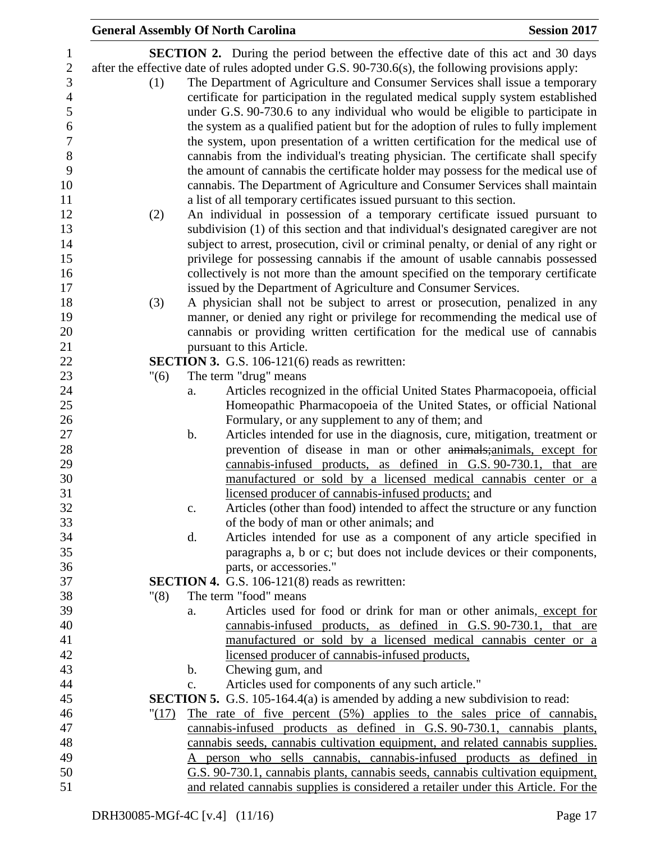|       |                | <b>General Assembly Of North Carolina</b>                                                                                                                                                                                                                                                                                                             | <b>Session 2017</b> |
|-------|----------------|-------------------------------------------------------------------------------------------------------------------------------------------------------------------------------------------------------------------------------------------------------------------------------------------------------------------------------------------------------|---------------------|
|       |                | <b>SECTION 2.</b> During the period between the effective date of this act and 30 days                                                                                                                                                                                                                                                                |                     |
| (1)   |                | after the effective date of rules adopted under G.S. 90-730.6(s), the following provisions apply:<br>The Department of Agriculture and Consumer Services shall issue a temporary<br>certificate for participation in the regulated medical supply system established<br>under G.S. 90-730.6 to any individual who would be eligible to participate in |                     |
|       |                | the system as a qualified patient but for the adoption of rules to fully implement<br>the system, upon presentation of a written certification for the medical use of<br>cannabis from the individual's treating physician. The certificate shall specify<br>the amount of cannabis the certificate holder may possess for the medical use of         |                     |
|       |                | cannabis. The Department of Agriculture and Consumer Services shall maintain<br>a list of all temporary certificates issued pursuant to this section.                                                                                                                                                                                                 |                     |
| (2)   |                | An individual in possession of a temporary certificate issued pursuant to<br>subdivision (1) of this section and that individual's designated caregiver are not                                                                                                                                                                                       |                     |
|       |                | subject to arrest, prosecution, civil or criminal penalty, or denial of any right or                                                                                                                                                                                                                                                                  |                     |
|       |                | privilege for possessing cannabis if the amount of usable cannabis possessed<br>collectively is not more than the amount specified on the temporary certificate                                                                                                                                                                                       |                     |
|       |                | issued by the Department of Agriculture and Consumer Services.                                                                                                                                                                                                                                                                                        |                     |
| (3)   |                | A physician shall not be subject to arrest or prosecution, penalized in any                                                                                                                                                                                                                                                                           |                     |
|       |                | manner, or denied any right or privilege for recommending the medical use of                                                                                                                                                                                                                                                                          |                     |
|       |                | cannabis or providing written certification for the medical use of cannabis<br>pursuant to this Article.                                                                                                                                                                                                                                              |                     |
|       |                | <b>SECTION 3.</b> G.S. 106-121(6) reads as rewritten:                                                                                                                                                                                                                                                                                                 |                     |
| "(6)  |                | The term "drug" means                                                                                                                                                                                                                                                                                                                                 |                     |
|       | a.             | Articles recognized in the official United States Pharmacopoeia, official                                                                                                                                                                                                                                                                             |                     |
|       |                | Homeopathic Pharmacopoeia of the United States, or official National                                                                                                                                                                                                                                                                                  |                     |
|       |                | Formulary, or any supplement to any of them; and                                                                                                                                                                                                                                                                                                      |                     |
|       | b.             | Articles intended for use in the diagnosis, cure, mitigation, treatment or                                                                                                                                                                                                                                                                            |                     |
|       |                | prevention of disease in man or other animals; animals, except for                                                                                                                                                                                                                                                                                    |                     |
|       |                | cannabis-infused products, as defined in G.S. 90-730.1, that are                                                                                                                                                                                                                                                                                      |                     |
|       |                | manufactured or sold by a licensed medical cannabis center or a<br>licensed producer of cannabis-infused products; and                                                                                                                                                                                                                                |                     |
|       | $\mathbf{c}$ . | Articles (other than food) intended to affect the structure or any function                                                                                                                                                                                                                                                                           |                     |
|       |                | of the body of man or other animals; and                                                                                                                                                                                                                                                                                                              |                     |
|       | d.             | Articles intended for use as a component of any article specified in                                                                                                                                                                                                                                                                                  |                     |
|       |                | paragraphs a, b or c; but does not include devices or their components,                                                                                                                                                                                                                                                                               |                     |
|       |                | parts, or accessories."                                                                                                                                                                                                                                                                                                                               |                     |
|       |                | <b>SECTION 4.</b> G.S. 106-121(8) reads as rewritten:                                                                                                                                                                                                                                                                                                 |                     |
| "(8)  |                | The term "food" means                                                                                                                                                                                                                                                                                                                                 |                     |
|       | a.             | Articles used for food or drink for man or other animals, except for                                                                                                                                                                                                                                                                                  |                     |
|       |                | cannabis-infused products, as defined in G.S. 90-730.1, that are                                                                                                                                                                                                                                                                                      |                     |
|       |                | manufactured or sold by a licensed medical cannabis center or a<br>licensed producer of cannabis-infused products,                                                                                                                                                                                                                                    |                     |
|       | b.             | Chewing gum, and                                                                                                                                                                                                                                                                                                                                      |                     |
|       | c.             | Articles used for components of any such article."                                                                                                                                                                                                                                                                                                    |                     |
|       |                | <b>SECTION 5.</b> G.S. 105-164.4(a) is amended by adding a new subdivision to read:                                                                                                                                                                                                                                                                   |                     |
| "(17) |                | The rate of five percent (5%) applies to the sales price of cannabis,                                                                                                                                                                                                                                                                                 |                     |
|       |                | cannabis-infused products as defined in G.S. 90-730.1, cannabis plants,                                                                                                                                                                                                                                                                               |                     |
|       |                | cannabis seeds, cannabis cultivation equipment, and related cannabis supplies.                                                                                                                                                                                                                                                                        |                     |
|       |                | A person who sells cannabis, cannabis-infused products as defined in                                                                                                                                                                                                                                                                                  |                     |
|       |                | G.S. 90-730.1, cannabis plants, cannabis seeds, cannabis cultivation equipment,                                                                                                                                                                                                                                                                       |                     |
|       |                | and related cannabis supplies is considered a retailer under this Article. For the                                                                                                                                                                                                                                                                    |                     |